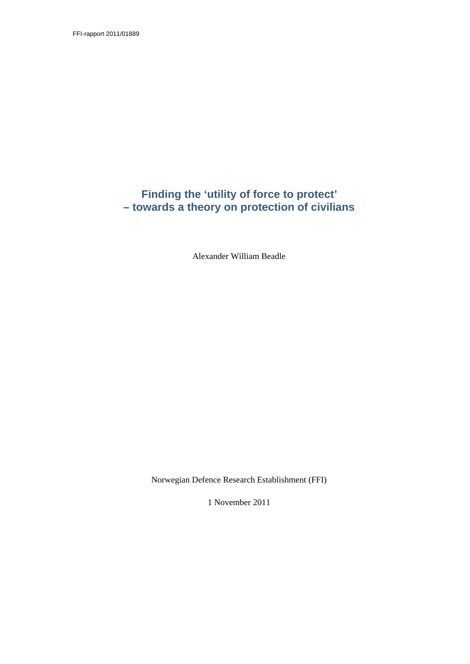FFI-rapport 2011/01889

# **Finding the 'utility of force to protect' – towards a theory on protection of civilians**

Alexander William Beadle

Norwegian Defence Research Establishment (FFI)

1 November 2011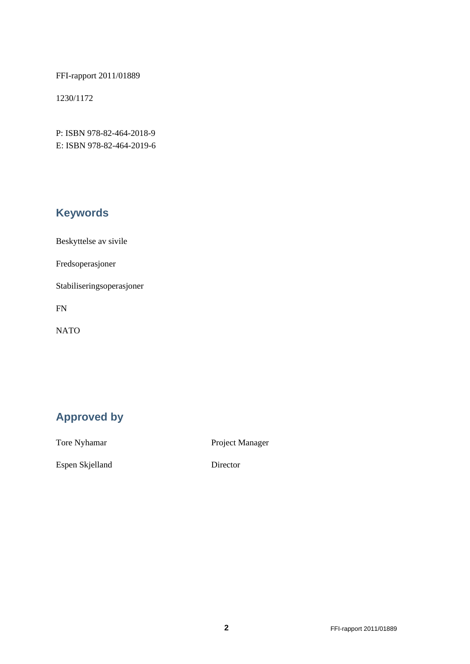FFI-rapport 2011/01889

1230/1172

P: ISBN 978-82-464-2018-9 E: ISBN 978-82-464-2019-6

# **Keywords**

Beskyttelse av sivile

Fredsoperasjoner

Stabiliseringsoperasjoner

FN

NATO

# **Approved by**

Tore Nyhamar Project Manager

Espen Skjelland Director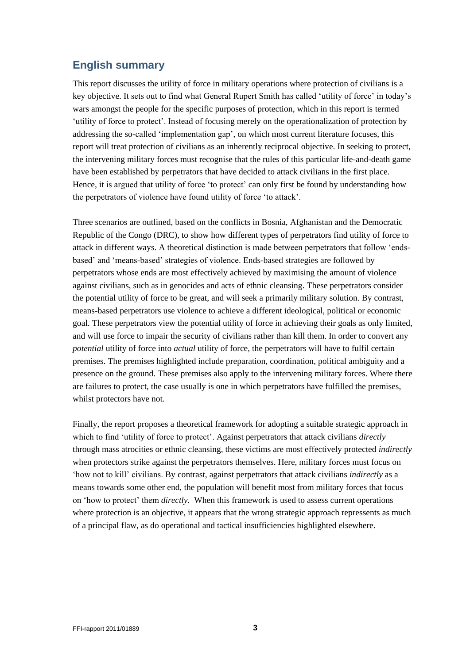# **English summary**

This report discusses the utility of force in military operations where protection of civilians is a key objective. It sets out to find what General Rupert Smith has called "utility of force" in today"s wars amongst the people for the specific purposes of protection, which in this report is termed "utility of force to protect". Instead of focusing merely on the operationalization of protection by addressing the so-called "implementation gap", on which most current literature focuses, this report will treat protection of civilians as an inherently reciprocal objective. In seeking to protect, the intervening military forces must recognise that the rules of this particular life-and-death game have been established by perpetrators that have decided to attack civilians in the first place. Hence, it is argued that utility of force 'to protect' can only first be found by understanding how the perpetrators of violence have found utility of force "to attack".

Three scenarios are outlined, based on the conflicts in Bosnia, Afghanistan and the Democratic Republic of the Congo (DRC), to show how different types of perpetrators find utility of force to attack in different ways. A theoretical distinction is made between perpetrators that follow "endsbased" and "means-based" strategies of violence. Ends-based strategies are followed by perpetrators whose ends are most effectively achieved by maximising the amount of violence against civilians, such as in genocides and acts of ethnic cleansing. These perpetrators consider the potential utility of force to be great, and will seek a primarily military solution. By contrast, means-based perpetrators use violence to achieve a different ideological, political or economic goal. These perpetrators view the potential utility of force in achieving their goals as only limited, and will use force to impair the security of civilians rather than kill them. In order to convert any *potential* utility of force into *actual* utility of force, the perpetrators will have to fulfil certain premises. The premises highlighted include preparation, coordination, political ambiguity and a presence on the ground. These premises also apply to the intervening military forces. Where there are failures to protect, the case usually is one in which perpetrators have fulfilled the premises, whilst protectors have not.

Finally, the report proposes a theoretical framework for adopting a suitable strategic approach in which to find 'utility of force to protect'. Against perpetrators that attack civilians *directly* through mass atrocities or ethnic cleansing, these victims are most effectively protected *indirectly* when protectors strike against the perpetrators themselves. Here, military forces must focus on "how not to kill" civilians. By contrast, against perpetrators that attack civilians *indirectly* as a means towards some other end, the population will benefit most from military forces that focus on "how to protect" them *directly.* When this framework is used to assess current operations where protection is an objective, it appears that the wrong strategic approach repressents as much of a principal flaw, as do operational and tactical insufficiencies highlighted elsewhere.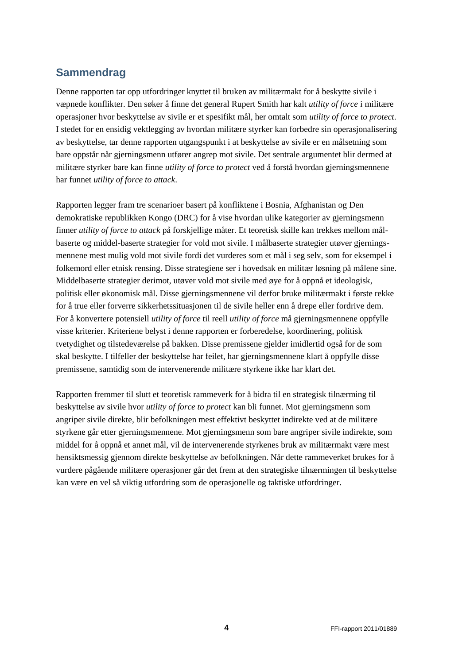# **Sammendrag**

Denne rapporten tar opp utfordringer knyttet til bruken av militærmakt for å beskytte sivile i væpnede konflikter. Den søker å finne det general Rupert Smith har kalt *utility of force* i militære operasjoner hvor beskyttelse av sivile er et spesifikt mål, her omtalt som *utility of force to protect*. I stedet for en ensidig vektlegging av hvordan militære styrker kan forbedre sin operasjonalisering av beskyttelse, tar denne rapporten utgangspunkt i at beskyttelse av sivile er en målsetning som bare oppstår når gjerningsmenn utfører angrep mot sivile. Det sentrale argumentet blir dermed at militære styrker bare kan finne *utility of force to protect* ved å forstå hvordan gjerningsmennene har funnet *utility of force to attack*.

Rapporten legger fram tre scenarioer basert på konfliktene i Bosnia, Afghanistan og Den demokratiske republikken Kongo (DRC) for å vise hvordan ulike kategorier av gjerningsmenn finner *utility of force to attack* på forskjellige måter. Et teoretisk skille kan trekkes mellom målbaserte og middel-baserte strategier for vold mot sivile. I målbaserte strategier utøver gjerningsmennene mest mulig vold mot sivile fordi det vurderes som et mål i seg selv, som for eksempel i folkemord eller etnisk rensing. Disse strategiene ser i hovedsak en militær løsning på målene sine. Middelbaserte strategier derimot, utøver vold mot sivile med øye for å oppnå et ideologisk, politisk eller økonomisk mål. Disse gjerningsmennene vil derfor bruke militærmakt i første rekke for å true eller forverre sikkerhetssituasjonen til de sivile heller enn å drepe eller fordrive dem. For å konvertere potensiell *utility of force* til reell *utility of force* må gjerningsmennene oppfylle visse kriterier. Kriteriene belyst i denne rapporten er forberedelse, koordinering, politisk tvetydighet og tilstedeværelse på bakken. Disse premissene gjelder imidlertid også for de som skal beskytte. I tilfeller der beskyttelse har feilet, har gjerningsmennene klart å oppfylle disse premissene, samtidig som de intervenerende militære styrkene ikke har klart det.

Rapporten fremmer til slutt et teoretisk rammeverk for å bidra til en strategisk tilnærming til beskyttelse av sivile hvor *utility of force to protect* kan bli funnet. Mot gjerningsmenn som angriper sivile direkte, blir befolkningen mest effektivt beskyttet indirekte ved at de militære styrkene går etter gjerningsmennene. Mot gjerningsmenn som bare angriper sivile indirekte, som middel for å oppnå et annet mål, vil de intervenerende styrkenes bruk av militærmakt være mest hensiktsmessig gjennom direkte beskyttelse av befolkningen. Når dette rammeverket brukes for å vurdere pågående militære operasjoner går det frem at den strategiske tilnærmingen til beskyttelse kan være en vel så viktig utfordring som de operasjonelle og taktiske utfordringer.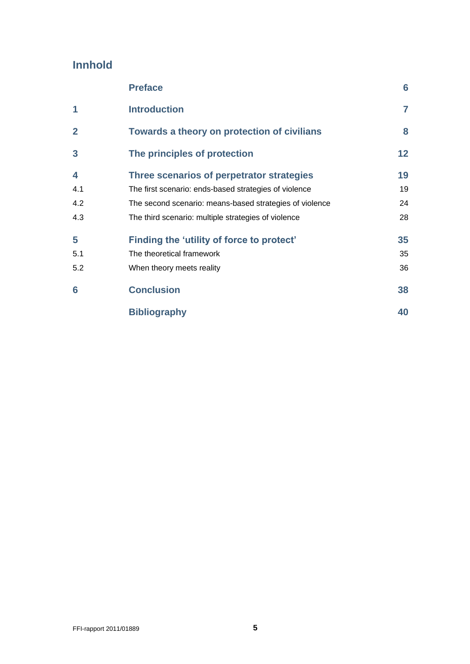# **Innhold**

|                | <b>Preface</b>                                          | 6               |
|----------------|---------------------------------------------------------|-----------------|
| 1              | <b>Introduction</b>                                     | 7               |
| $\overline{2}$ | Towards a theory on protection of civilians             | 8               |
| 3              | The principles of protection                            | 12 <sub>2</sub> |
| 4              | Three scenarios of perpetrator strategies               | 19              |
| 4.1            | The first scenario: ends-based strategies of violence   | 19              |
| 4.2            | The second scenario: means-based strategies of violence | 24              |
| 4.3            | The third scenario: multiple strategies of violence     | 28              |
| 5              | Finding the 'utility of force to protect'               | 35              |
| 5.1            | The theoretical framework                               | 35              |
| 5.2            | When theory meets reality                               | 36              |
| 6              | <b>Conclusion</b>                                       | 38              |
|                | <b>Bibliography</b>                                     | 40              |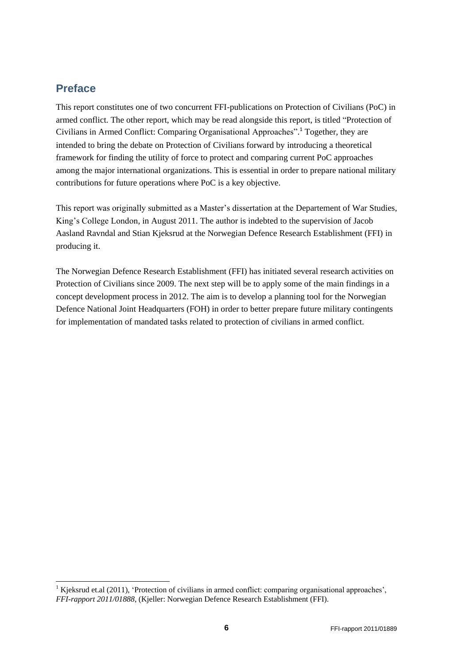## <span id="page-5-0"></span>**Preface**

1

This report constitutes one of two concurrent FFI-publications on Protection of Civilians (PoC) in armed conflict. The other report, which may be read alongside this report, is titled "Protection of Civilians in Armed Conflict: Comparing Organisational Approaches". <sup>1</sup> Together, they are intended to bring the debate on Protection of Civilians forward by introducing a theoretical framework for finding the utility of force to protect and comparing current PoC approaches among the major international organizations. This is essential in order to prepare national military contributions for future operations where PoC is a key objective.

This report was originally submitted as a Master"s dissertation at the Departement of War Studies, King"s College London, in August 2011. The author is indebted to the supervision of Jacob Aasland Ravndal and Stian Kjeksrud at the Norwegian Defence Research Establishment (FFI) in producing it.

The Norwegian Defence Research Establishment (FFI) has initiated several research activities on Protection of Civilians since 2009. The next step will be to apply some of the main findings in a concept development process in 2012. The aim is to develop a planning tool for the Norwegian Defence National Joint Headquarters (FOH) in order to better prepare future military contingents for implementation of mandated tasks related to protection of civilians in armed conflict.

 $1$  Kjeksrud et.al (2011), 'Protection of civilians in armed conflict: comparing organisational approaches', *FFI-rapport 2011/01888*, (Kjeller: Norwegian Defence Research Establishment (FFI).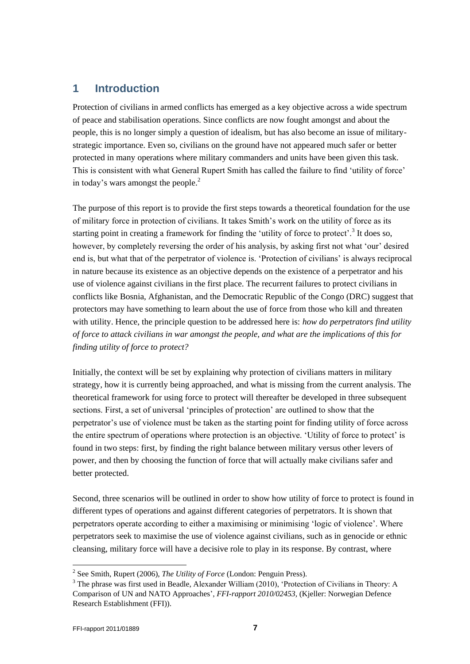# <span id="page-6-0"></span>**1 Introduction**

Protection of civilians in armed conflicts has emerged as a key objective across a wide spectrum of peace and stabilisation operations. Since conflicts are now fought amongst and about the people, this is no longer simply a question of idealism, but has also become an issue of militarystrategic importance. Even so, civilians on the ground have not appeared much safer or better protected in many operations where military commanders and units have been given this task. This is consistent with what General Rupert Smith has called the failure to find "utility of force" in today's wars amongst the people. $<sup>2</sup>$ </sup>

The purpose of this report is to provide the first steps towards a theoretical foundation for the use of military force in protection of civilians. It takes Smith"s work on the utility of force as its starting point in creating a framework for finding the 'utility of force to protect'.<sup>3</sup> It does so, however, by completely reversing the order of his analysis, by asking first not what "our" desired end is, but what that of the perpetrator of violence is. "Protection of civilians" is always reciprocal in nature because its existence as an objective depends on the existence of a perpetrator and his use of violence against civilians in the first place. The recurrent failures to protect civilians in conflicts like Bosnia, Afghanistan, and the Democratic Republic of the Congo (DRC) suggest that protectors may have something to learn about the use of force from those who kill and threaten with utility. Hence, the principle question to be addressed here is: *how do perpetrators find utility of force to attack civilians in war amongst the people, and what are the implications of this for finding utility of force to protect?*

Initially, the context will be set by explaining why protection of civilians matters in military strategy, how it is currently being approached, and what is missing from the current analysis. The theoretical framework for using force to protect will thereafter be developed in three subsequent sections. First, a set of universal 'principles of protection' are outlined to show that the perpetrator"s use of violence must be taken as the starting point for finding utility of force across the entire spectrum of operations where protection is an objective. 'Utility of force to protect' is found in two steps: first, by finding the right balance between military versus other levers of power, and then by choosing the function of force that will actually make civilians safer and better protected.

Second, three scenarios will be outlined in order to show how utility of force to protect is found in different types of operations and against different categories of perpetrators. It is shown that perpetrators operate according to either a maximising or minimising "logic of violence". Where perpetrators seek to maximise the use of violence against civilians, such as in genocide or ethnic cleansing, military force will have a decisive role to play in its response. By contrast, where

<sup>2</sup> See Smith, Rupert (2006), *The Utility of Force* (London: Penguin Press).

<sup>&</sup>lt;sup>3</sup> The phrase was first used in Beadle, Alexander William (2010), 'Protection of Civilians in Theory: A Comparison of UN and NATO Approaches", *FFI-rapport 2010/02453,* (Kjeller: Norwegian Defence Research Establishment (FFI)).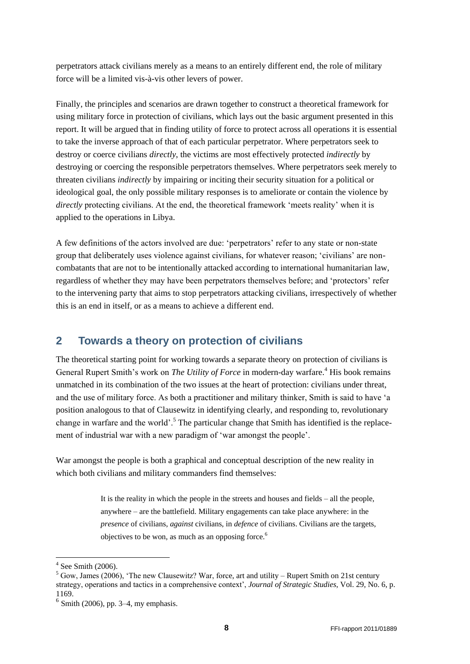perpetrators attack civilians merely as a means to an entirely different end, the role of military force will be a limited vis-à-vis other levers of power.

Finally, the principles and scenarios are drawn together to construct a theoretical framework for using military force in protection of civilians, which lays out the basic argument presented in this report. It will be argued that in finding utility of force to protect across all operations it is essential to take the inverse approach of that of each particular perpetrator. Where perpetrators seek to destroy or coerce civilians *directly*, the victims are most effectively protected *indirectly* by destroying or coercing the responsible perpetrators themselves. Where perpetrators seek merely to threaten civilians *indirectly* by impairing or inciting their security situation for a political or ideological goal, the only possible military responses is to ameliorate or contain the violence by *directly* protecting civilians. At the end, the theoretical framework 'meets reality' when it is applied to the operations in Libya.

A few definitions of the actors involved are due: 'perpetrators' refer to any state or non-state group that deliberately uses violence against civilians, for whatever reason; "civilians" are noncombatants that are not to be intentionally attacked according to international humanitarian law, regardless of whether they may have been perpetrators themselves before; and "protectors" refer to the intervening party that aims to stop perpetrators attacking civilians, irrespectively of whether this is an end in itself, or as a means to achieve a different end.

# <span id="page-7-0"></span>**2 Towards a theory on protection of civilians**

The theoretical starting point for working towards a separate theory on protection of civilians is General Rupert Smith's work on *The Utility of Force* in modern-day warfare.<sup>4</sup> His book remains unmatched in its combination of the two issues at the heart of protection: civilians under threat, and the use of military force. As both a practitioner and military thinker, Smith is said to have "a position analogous to that of Clausewitz in identifying clearly, and responding to, revolutionary change in warfare and the world'.<sup>5</sup> The particular change that Smith has identified is the replacement of industrial war with a new paradigm of 'war amongst the people'.

War amongst the people is both a graphical and conceptual description of the new reality in which both civilians and military commanders find themselves:

> It is the reality in which the people in the streets and houses and fields – all the people, anywhere – are the battlefield. Military engagements can take place anywhere: in the *presence* of civilians, *against* civilians, in *defence* of civilians. Civilians are the targets, objectives to be won, as much as an opposing force.<sup>6</sup>

 $4$  See Smith (2006).

<sup>&</sup>lt;sup>5</sup> Gow, James (2006), 'The new Clausewitz? War, force, art and utility – Rupert Smith on 21st century strategy, operations and tactics in a comprehensive context", *Journal of Strategic Studies*, Vol. 29, No. 6, p. 1169.

 $<sup>6</sup>$  Smith (2006), pp. 3–4, my emphasis.</sup>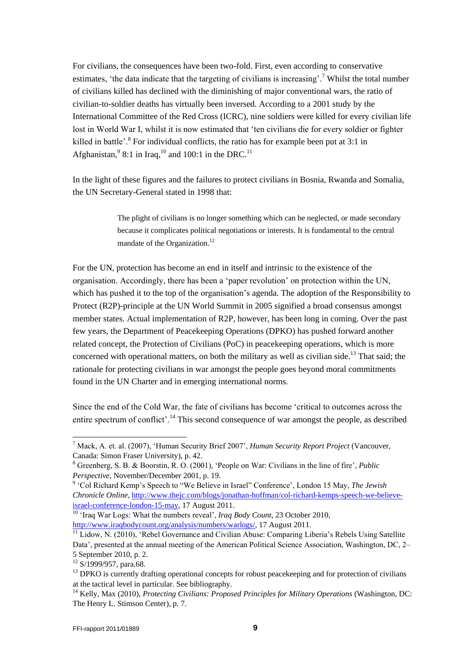For civilians, the consequences have been two-fold. First, even according to conservative estimates, 'the data indicate that the targeting of civilians is increasing'.<sup>7</sup> Whilst the total number of civilians killed has declined with the diminishing of major conventional wars, the ratio of civilian-to-soldier deaths has virtually been inversed. According to a 2001 study by the International Committee of the Red Cross (ICRC), nine soldiers were killed for every civilian life lost in World War I, whilst it is now estimated that "ten civilians die for every soldier or fighter killed in battle'.<sup>8</sup> For individual conflicts, the ratio has for example been put at 3:1 in Afghanistan,  $98:1$  in Iraq,  $^{10}$  and 100:1 in the DRC.<sup>11</sup>

In the light of these figures and the failures to protect civilians in Bosnia, Rwanda and Somalia, the UN Secretary-General stated in 1998 that:

> The plight of civilians is no longer something which can be neglected, or made secondary because it complicates political negotiations or interests. It is fundamental to the central mandate of the Organization.<sup>12</sup>

For the UN, protection has become an end in itself and intrinsic to the existence of the organisation. Accordingly, there has been a "paper revolution" on protection within the UN, which has pushed it to the top of the organisation's agenda. The adoption of the Responsibility to Protect (R2P)-principle at the UN World Summit in 2005 signified a broad consensus amongst member states. Actual implementation of R2P, however, has been long in coming. Over the past few years, the Department of Peacekeeping Operations (DPKO) has pushed forward another related concept, the Protection of Civilians (PoC) in peacekeeping operations, which is more concerned with operational matters, on both the military as well as civilian side.<sup>13</sup> That said; the rationale for protecting civilians in war amongst the people goes beyond moral commitments found in the UN Charter and in emerging international norms.

Since the end of the Cold War, the fate of civilians has become "critical to outcomes across the entire spectrum of conflict'.<sup>14</sup> This second consequence of war amongst the people, as described

<sup>10</sup> "Iraq War Logs: What the numbers reveal", *Iraq Body Count*, 23 October 2010, [http://www.iraqbodycount.org/analysis/numbers/warlogs/,](http://www.iraqbodycount.org/analysis/numbers/warlogs/) 17 August 2011.

<sup>7</sup> Mack, A. et. al. (2007), "Human Security Brief 2007", *Human Security Report Project* (Vancouver, Canada: Simon Fraser University), p. 42.

<sup>8</sup> Greenberg, S. B. & Boorstin, R. O. (2001), "People on War: Civilians in the line of fire", *Public Perspective*, November/December 2001, p. 19.

<sup>&</sup>lt;sup>9</sup> 'Col Richard Kemp's Speech to "We Believe in Israel" Conference', London 15 May, *The Jewish Chronicle Online*, [http://www.thejc.com/blogs/jonathan-hoffman/col-richard-kemps-speech-we-believe](http://www.thejc.com/blogs/jonathan-hoffman/col-richard-kemps-speech-we-believe-israel-conference-london-15-may)[israel-conference-london-15-may,](http://www.thejc.com/blogs/jonathan-hoffman/col-richard-kemps-speech-we-believe-israel-conference-london-15-may) 17 August 2011.

<sup>&</sup>lt;sup>11</sup> Lidow, N. (2010), 'Rebel Governance and Civilian Abuse: Comparing Liberia's Rebels Using Satellite Data', presented at the annual meeting of the American Political Science Association, Washington, DC, 2– 5 September 2010, p. 2.

<sup>&</sup>lt;sup>12</sup> S/1999/957, para.68.

<sup>&</sup>lt;sup>13</sup> DPKO is currently drafting operational concepts for robust peacekeeping and for protection of civilians at the tactical level in particular. See bibliography.

<sup>14</sup> Kelly, Max (2010), *Protecting Civilians: Proposed Principles for Military Operations* (Washington, DC: The Henry L. Stimson Center), p. 7.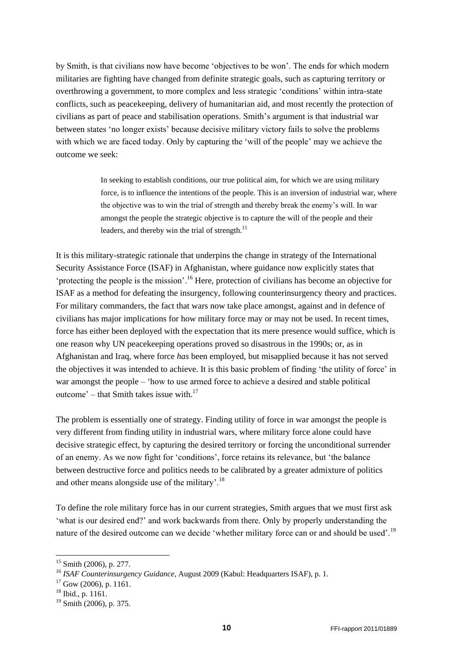by Smith, is that civilians now have become "objectives to be won". The ends for which modern militaries are fighting have changed from definite strategic goals, such as capturing territory or overthrowing a government, to more complex and less strategic "conditions" within intra-state conflicts, such as peacekeeping, delivery of humanitarian aid, and most recently the protection of civilians as part of peace and stabilisation operations. Smith's argument is that industrial war between states "no longer exists" because decisive military victory fails to solve the problems with which we are faced today. Only by capturing the "will of the people" may we achieve the outcome we seek:

> In seeking to establish conditions, our true political aim, for which we are using military force, is to influence the intentions of the people. This is an inversion of industrial war, where the objective was to win the trial of strength and thereby break the enemy"s will. In war amongst the people the strategic objective is to capture the will of the people and their leaders, and thereby win the trial of strength.<sup>15</sup>

It is this military-strategic rationale that underpins the change in strategy of the International Security Assistance Force (ISAF) in Afghanistan, where guidance now explicitly states that "protecting the people is the mission".<sup>16</sup> Here, protection of civilians has become an objective for ISAF as a method for defeating the insurgency, following counterinsurgency theory and practices. For military commanders, the fact that wars now take place amongst, against and in defence of civilians has major implications for how military force may or may not be used. In recent times, force has either been deployed with the expectation that its mere presence would suffice, which is one reason why UN peacekeeping operations proved so disastrous in the 1990s; or, as in Afghanistan and Iraq, where force *has* been employed, but misapplied because it has not served the objectives it was intended to achieve. It is this basic problem of finding "the utility of force" in war amongst the people – "how to use armed force to achieve a desired and stable political outcome' – that Smith takes issue with. $17$ 

The problem is essentially one of strategy. Finding utility of force in war amongst the people is very different from finding utility in industrial wars, where military force alone could have decisive strategic effect, by capturing the desired territory or forcing the unconditional surrender of an enemy. As we now fight for "conditions", force retains its relevance, but "the balance between destructive force and politics needs to be calibrated by a greater admixture of politics and other means alongside use of the military'.<sup>18</sup>

To define the role military force has in our current strategies, Smith argues that we must first ask "what is our desired end?" and work backwards from there. Only by properly understanding the nature of the desired outcome can we decide 'whether military force can or and should be used'.<sup>19</sup>

<sup>15</sup> Smith (2006), p. 277.

<sup>16</sup> *ISAF Counterinsurgency Guidance*, August 2009 (Kabul: Headquarters ISAF), p. 1.

<sup>17</sup> Gow (2006), p. 1161.

 $18$  Ibid., p. 1161.

<sup>19</sup> Smith (2006), p. 375.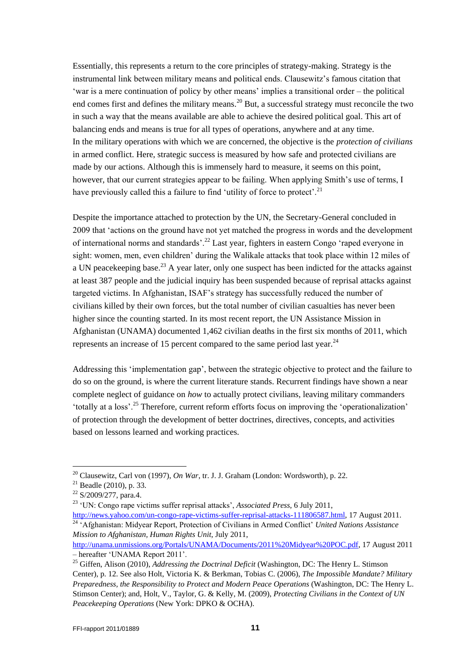Essentially, this represents a return to the core principles of strategy-making. Strategy is the instrumental link between military means and political ends. Clausewitz's famous citation that "war is a mere continuation of policy by other means" implies a transitional order – the political end comes first and defines the military means.<sup>20</sup> But, a successful strategy must reconcile the two in such a way that the means available are able to achieve the desired political goal. This art of balancing ends and means is true for all types of operations, anywhere and at any time. In the military operations with which we are concerned, the objective is the *protection of civilians*  in armed conflict. Here, strategic success is measured by how safe and protected civilians are made by our actions. Although this is immensely hard to measure, it seems on this point, however, that our current strategies appear to be failing. When applying Smith's use of terms, I have previously called this a failure to find 'utility of force to protect'.<sup>21</sup>

Despite the importance attached to protection by the UN, the Secretary-General concluded in 2009 that "actions on the ground have not yet matched the progress in words and the development of international norms and standards'.<sup>22</sup> Last year, fighters in eastern Congo 'raped everyone in sight: women, men, even children' during the Walikale attacks that took place within 12 miles of a UN peacekeeping base.<sup>23</sup> A year later, only one suspect has been indicted for the attacks against at least 387 people and the judicial inquiry has been suspended because of reprisal attacks against targeted victims. In Afghanistan, ISAF"s strategy has successfully reduced the number of civilians killed by their own forces, but the total number of civilian casualties has never been higher since the counting started. In its most recent report, the UN Assistance Mission in Afghanistan (UNAMA) documented 1,462 civilian deaths in the first six months of 2011, which represents an increase of 15 percent compared to the same period last year.<sup>24</sup>

Addressing this "implementation gap", between the strategic objective to protect and the failure to do so on the ground, is where the current literature stands. Recurrent findings have shown a near complete neglect of guidance on *how* to actually protect civilians, leaving military commanders totally at a loss'.<sup>25</sup> Therefore, current reform efforts focus on improving the 'operationalization' of protection through the development of better doctrines, directives, concepts, and activities based on lessons learned and working practices.

l

[http://news.yahoo.com/un-congo-rape-victims-suffer-reprisal-attacks-111806587.html,](http://news.yahoo.com/un-congo-rape-victims-suffer-reprisal-attacks-111806587.html) 17 August 2011. <sup>24</sup> "Afghanistan: Midyear Report, Protection of Civilians in Armed Conflict" *United Nations Assistance Mission to Afghanistan, Human Rights Unit*, July 2011,

[http://unama.unmissions.org/Portals/UNAMA/Documents/2011%20Midyear%20POC.pdf,](http://unama.unmissions.org/Portals/UNAMA/Documents/2011%20Midyear%20POC.pdf) 17 August 2011 – hereafter "UNAMA Report 2011".

<sup>20</sup> Clausewitz, Carl von (1997), *On War*, tr. J. J. Graham (London: Wordsworth), p. 22.

 $21$  Beadle (2010), p. 33.

 $22$  S/2009/277, para.4.

<sup>&</sup>lt;sup>23</sup> 'UN: Congo rape victims suffer reprisal attacks', *Associated Press*, 6 July 2011,

<sup>25</sup> Giffen, Alison (2010), *Addressing the Doctrinal Deficit* (Washington, DC: The Henry L. Stimson Center), p. 12. See also Holt, Victoria K. & Berkman, Tobias C. (2006), *The Impossible Mandate? Military Preparedness, the Responsibility to Protect and Modern Peace Operations* (Washington, DC: The Henry L. Stimson Center); and, Holt, V., Taylor, G. & Kelly, M. (2009), *Protecting Civilians in the Context of UN Peacekeeping Operations* (New York: DPKO & OCHA).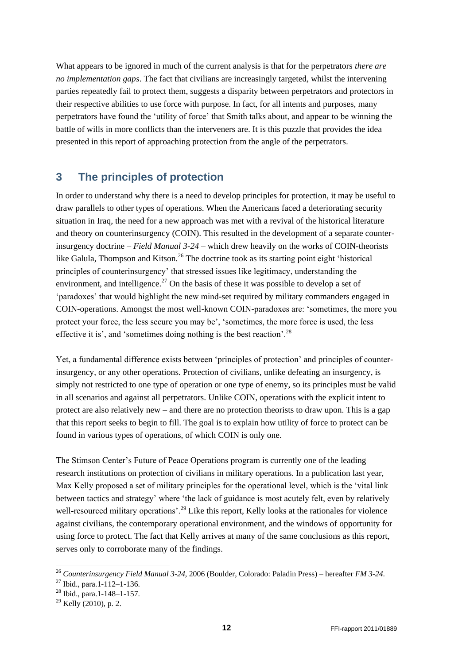What appears to be ignored in much of the current analysis is that for the perpetrators *there are no implementation gaps*. The fact that civilians are increasingly targeted, whilst the intervening parties repeatedly fail to protect them, suggests a disparity between perpetrators and protectors in their respective abilities to use force with purpose. In fact, for all intents and purposes, many perpetrators have found the "utility of force" that Smith talks about, and appear to be winning the battle of wills in more conflicts than the interveners are. It is this puzzle that provides the idea presented in this report of approaching protection from the angle of the perpetrators.

# <span id="page-11-0"></span>**3 The principles of protection**

In order to understand why there is a need to develop principles for protection, it may be useful to draw parallels to other types of operations. When the Americans faced a deteriorating security situation in Iraq, the need for a new approach was met with a revival of the historical literature and theory on counterinsurgency (COIN). This resulted in the development of a separate counterinsurgency doctrine – *Field Manual 3-24* – which drew heavily on the works of COIN-theorists like Galula, Thompson and Kitson.<sup>26</sup> The doctrine took as its starting point eight 'historical principles of counterinsurgency" that stressed issues like legitimacy, understanding the environment, and intelligence.<sup>27</sup> On the basis of these it was possible to develop a set of "paradoxes" that would highlight the new mind-set required by military commanders engaged in COIN-operations. Amongst the most well-known COIN-paradoxes are: "sometimes, the more you protect your force, the less secure you may be', 'sometimes, the more force is used, the less effective it is', and 'sometimes doing nothing is the best reaction'.<sup>28</sup>

Yet, a fundamental difference exists between "principles of protection" and principles of counterinsurgency, or any other operations. Protection of civilians, unlike defeating an insurgency, is simply not restricted to one type of operation or one type of enemy, so its principles must be valid in all scenarios and against all perpetrators. Unlike COIN, operations with the explicit intent to protect are also relatively new – and there are no protection theorists to draw upon. This is a gap that this report seeks to begin to fill. The goal is to explain how utility of force to protect can be found in various types of operations, of which COIN is only one.

The Stimson Center"s Future of Peace Operations program is currently one of the leading research institutions on protection of civilians in military operations. In a publication last year, Max Kelly proposed a set of military principles for the operational level, which is the "vital link between tactics and strategy" where "the lack of guidance is most acutely felt, even by relatively well-resourced military operations'.<sup>29</sup> Like this report, Kelly looks at the rationales for violence against civilians, the contemporary operational environment, and the windows of opportunity for using force to protect. The fact that Kelly arrives at many of the same conclusions as this report, serves only to corroborate many of the findings.

1

<sup>26</sup> *Counterinsurgency Field Manual 3-24*, 2006 (Boulder, Colorado: Paladin Press) – hereafter *FM 3-24*.

<sup>27</sup> Ibid., para.1-112–1-136.

<sup>28</sup> Ibid., para.1-148–1-157.

 $29$  Kelly (2010), p. 2.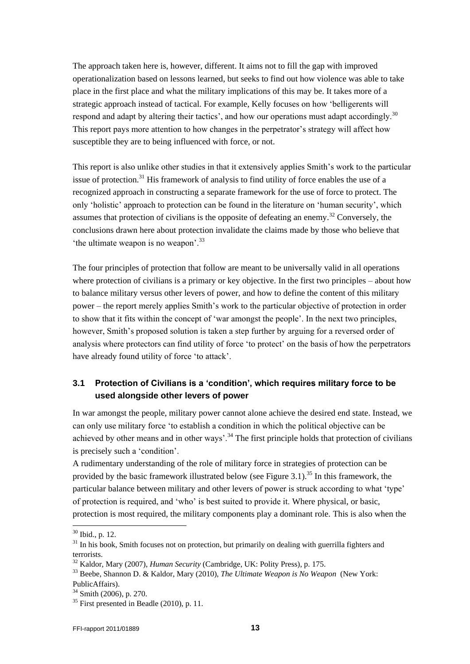The approach taken here is, however, different. It aims not to fill the gap with improved operationalization based on lessons learned, but seeks to find out how violence was able to take place in the first place and what the military implications of this may be. It takes more of a strategic approach instead of tactical. For example, Kelly focuses on how "belligerents will respond and adapt by altering their tactics', and how our operations must adapt accordingly.<sup>30</sup> This report pays more attention to how changes in the perpetrator's strategy will affect how susceptible they are to being influenced with force, or not.

This report is also unlike other studies in that it extensively applies Smith"s work to the particular issue of protection.<sup>31</sup> His framework of analysis to find utility of force enables the use of a recognized approach in constructing a separate framework for the use of force to protect. The only "holistic" approach to protection can be found in the literature on "human security", which assumes that protection of civilians is the opposite of defeating an enemy.<sup>32</sup> Conversely, the conclusions drawn here about protection invalidate the claims made by those who believe that 'the ultimate weapon is no weapon'.<sup>33</sup>

The four principles of protection that follow are meant to be universally valid in all operations where protection of civilians is a primary or key objective. In the first two principles – about how to balance military versus other levers of power, and how to define the content of this military power – the report merely applies Smith"s work to the particular objective of protection in order to show that it fits within the concept of "war amongst the people". In the next two principles, however, Smith's proposed solution is taken a step further by arguing for a reversed order of analysis where protectors can find utility of force "to protect" on the basis of how the perpetrators have already found utility of force "to attack".

### **3.1 Protection of Civilians is a 'condition', which requires military force to be used alongside other levers of power**

In war amongst the people, military power cannot alone achieve the desired end state. Instead, we can only use military force "to establish a condition in which the political objective can be achieved by other means and in other ways'.<sup>34</sup> The first principle holds that protection of civilians is precisely such a "condition".

A rudimentary understanding of the role of military force in strategies of protection can be provided by the basic framework illustrated below (see Figure 3.1).<sup>35</sup> In this framework, the particular balance between military and other levers of power is struck according to what "type" of protection is required, and "who" is best suited to provide it. Where physical, or basic, protection is most required, the military components play a dominant role. This is also when the

<sup>30</sup> Ibid., p. 12.

<sup>&</sup>lt;sup>31</sup> In his book, Smith focuses not on protection, but primarily on dealing with guerrilla fighters and terrorists.

<sup>32</sup> Kaldor, Mary (2007), *Human Security* (Cambridge, UK: Polity Press), p. 175.

<sup>33</sup> Beebe, Shannon D. & Kaldor, Mary (2010), *The Ultimate Weapon is No Weapon* (New York: PublicAffairs).

<sup>&</sup>lt;sup>34</sup> Smith (2006), p. 270.

 $35$  First presented in Beadle (2010), p. 11.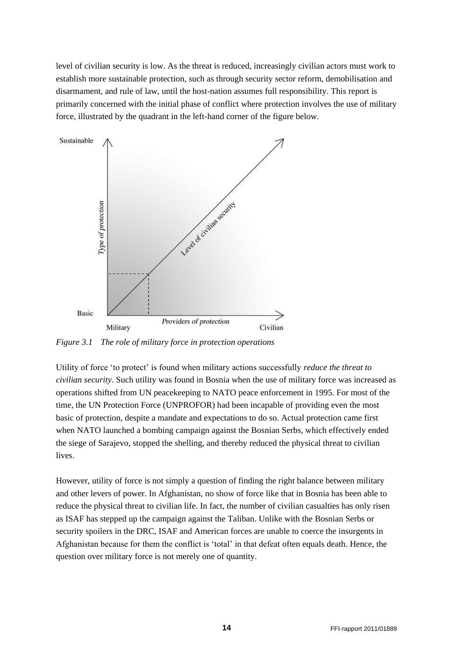level of civilian security is low. As the threat is reduced, increasingly civilian actors must work to establish more sustainable protection, such as through security sector reform, demobilisation and disarmament, and rule of law, until the host-nation assumes full responsibility. This report is primarily concerned with the initial phase of conflict where protection involves the use of military force, illustrated by the quadrant in the left-hand corner of the figure below.



*Figure 3.1 The role of military force in protection operations*

Utility of force "to protect" is found when military actions successfully *reduce the threat to civilian security*. Such utility was found in Bosnia when the use of military force was increased as operations shifted from UN peacekeeping to NATO peace enforcement in 1995. For most of the time, the UN Protection Force (UNPROFOR) had been incapable of providing even the most basic of protection, despite a mandate and expectations to do so. Actual protection came first when NATO launched a bombing campaign against the Bosnian Serbs, which effectively ended the siege of Sarajevo, stopped the shelling, and thereby reduced the physical threat to civilian lives.

However, utility of force is not simply a question of finding the right balance between military and other levers of power. In Afghanistan, no show of force like that in Bosnia has been able to reduce the physical threat to civilian life. In fact, the number of civilian casualties has only risen as ISAF has stepped up the campaign against the Taliban. Unlike with the Bosnian Serbs or security spoilers in the DRC, ISAF and American forces are unable to coerce the insurgents in Afghanistan because for them the conflict is "total" in that defeat often equals death. Hence, the question over military force is not merely one of quantity.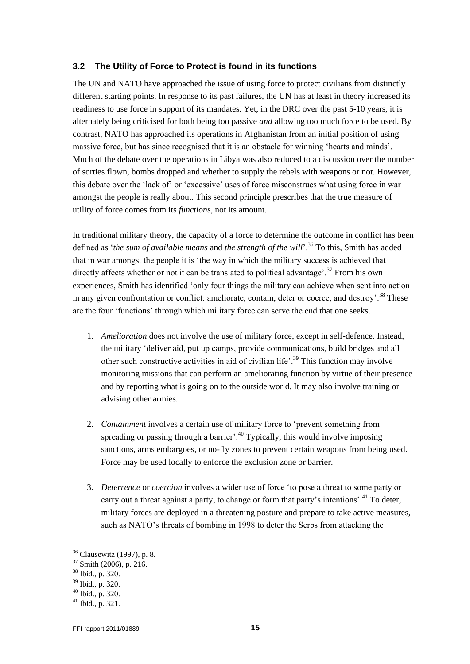#### **3.2 The Utility of Force to Protect is found in its functions**

The UN and NATO have approached the issue of using force to protect civilians from distinctly different starting points. In response to its past failures, the UN has at least in theory increased its readiness to use force in support of its mandates. Yet, in the DRC over the past 5-10 years, it is alternately being criticised for both being too passive *and* allowing too much force to be used. By contrast, NATO has approached its operations in Afghanistan from an initial position of using massive force, but has since recognised that it is an obstacle for winning "hearts and minds". Much of the debate over the operations in Libya was also reduced to a discussion over the number of sorties flown, bombs dropped and whether to supply the rebels with weapons or not. However, this debate over the "lack of" or "excessive" uses of force misconstrues what using force in war amongst the people is really about. This second principle prescribes that the true measure of utility of force comes from its *functions*, not its amount.

In traditional military theory, the capacity of a force to determine the outcome in conflict has been defined as *'the sum of available means* and *the strength of the will*'.<sup>36</sup> To this, Smith has added that in war amongst the people it is "the way in which the military success is achieved that directly affects whether or not it can be translated to political advantage'.<sup>37</sup> From his own experiences, Smith has identified "only four things the military can achieve when sent into action in any given confrontation or conflict: ameliorate, contain, deter or coerce, and destroy'.<sup>38</sup> These are the four "functions" through which military force can serve the end that one seeks.

- 1. *Amelioration* does not involve the use of military force, except in self-defence. Instead, the military "deliver aid, put up camps, provide communications, build bridges and all other such constructive activities in aid of civilian life'.<sup>39</sup> This function may involve monitoring missions that can perform an ameliorating function by virtue of their presence and by reporting what is going on to the outside world. It may also involve training or advising other armies.
- 2. *Containment* involves a certain use of military force to "prevent something from spreading or passing through a barrier'.<sup>40</sup> Typically, this would involve imposing sanctions, arms embargoes, or no-fly zones to prevent certain weapons from being used. Force may be used locally to enforce the exclusion zone or barrier.
- 3. *Deterrence* or *coercion* involves a wider use of force "to pose a threat to some party or carry out a threat against a party, to change or form that party's intentions'.<sup>41</sup> To deter, military forces are deployed in a threatening posture and prepare to take active measures, such as NATO"s threats of bombing in 1998 to deter the Serbs from attacking the

<sup>36</sup> Clausewitz (1997), p. 8.

<sup>37</sup> Smith (2006), p. 216.

<sup>38</sup> Ibid., p. 320.

<sup>39</sup> Ibid., p. 320.

 $40$  Ibid., p. 320.

 $41$  Ibid., p. 321.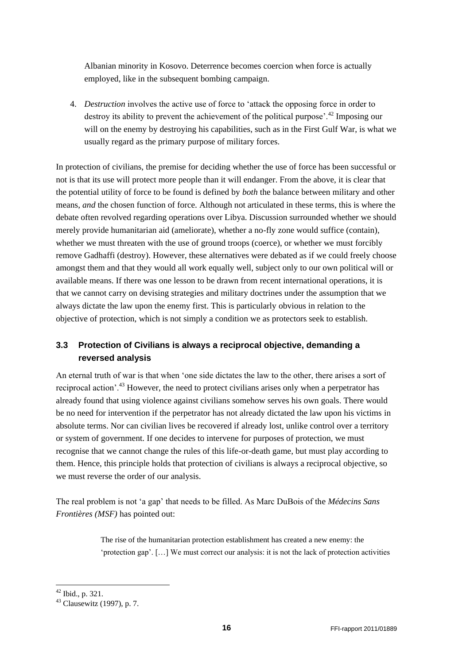Albanian minority in Kosovo. Deterrence becomes coercion when force is actually employed, like in the subsequent bombing campaign.

4. *Destruction* involves the active use of force to "attack the opposing force in order to destroy its ability to prevent the achievement of the political purpose'.<sup>42</sup> Imposing our will on the enemy by destroying his capabilities, such as in the First Gulf War, is what we usually regard as the primary purpose of military forces.

In protection of civilians, the premise for deciding whether the use of force has been successful or not is that its use will protect more people than it will endanger. From the above, it is clear that the potential utility of force to be found is defined by *both* the balance between military and other means, *and* the chosen function of force. Although not articulated in these terms, this is where the debate often revolved regarding operations over Libya. Discussion surrounded whether we should merely provide humanitarian aid (ameliorate), whether a no-fly zone would suffice (contain), whether we must threaten with the use of ground troops (coerce), or whether we must forcibly remove Gadhaffi (destroy). However, these alternatives were debated as if we could freely choose amongst them and that they would all work equally well, subject only to our own political will or available means. If there was one lesson to be drawn from recent international operations, it is that we cannot carry on devising strategies and military doctrines under the assumption that we always dictate the law upon the enemy first. This is particularly obvious in relation to the objective of protection, which is not simply a condition we as protectors seek to establish.

### **3.3 Protection of Civilians is always a reciprocal objective, demanding a reversed analysis**

An eternal truth of war is that when "one side dictates the law to the other, there arises a sort of reciprocal action'.<sup>43</sup> However, the need to protect civilians arises only when a perpetrator has already found that using violence against civilians somehow serves his own goals. There would be no need for intervention if the perpetrator has not already dictated the law upon his victims in absolute terms. Nor can civilian lives be recovered if already lost, unlike control over a territory or system of government. If one decides to intervene for purposes of protection, we must recognise that we cannot change the rules of this life-or-death game, but must play according to them. Hence, this principle holds that protection of civilians is always a reciprocal objective, so we must reverse the order of our analysis.

The real problem is not "a gap" that needs to be filled. As Marc DuBois of the *Médecins Sans Frontières (MSF)* has pointed out:

> The rise of the humanitarian protection establishment has created a new enemy: the 'protection gap'. [...] We must correct our analysis: it is not the lack of protection activities

 $42$  Ibid., p. 321.

 $43$  Clausewitz (1997), p. 7.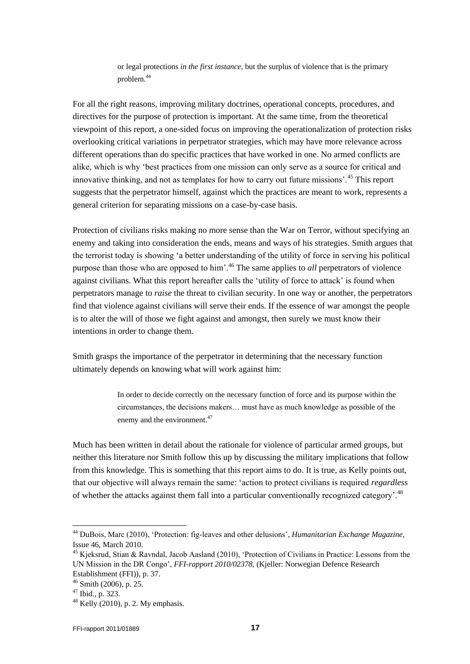or legal protections *in the first instance*, but the surplus of violence that is the primary problem.<sup>44</sup>

For all the right reasons, improving military doctrines, operational concepts, procedures, and directives for the purpose of protection is important. At the same time, from the theoretical viewpoint of this report, a one-sided focus on improving the operationalization of protection risks overlooking critical variations in perpetrator strategies, which may have more relevance across different operations than do specific practices that have worked in one. No armed conflicts are alike, which is why "best practices from one mission can only serve as a source for critical and innovative thinking, and not as templates for how to carry out future missions'.<sup>45</sup> This report suggests that the perpetrator himself, against which the practices are meant to work, represents a general criterion for separating missions on a case-by-case basis.

Protection of civilians risks making no more sense than the War on Terror, without specifying an enemy and taking into consideration the ends, means and ways of his strategies. Smith argues that the terrorist today is showing "a better understanding of the utility of force in serving his political purpose than those who are opposed to him'.<sup>46</sup> The same applies to *all* perpetrators of violence against civilians. What this report hereafter calls the "utility of force to attack" is found when perpetrators manage to *raise* the threat to civilian security. In one way or another, the perpetrators find that violence against civilians will serve their ends. If the essence of war amongst the people is to alter the will of those we fight against and amongst, then surely we must know their intentions in order to change them.

Smith grasps the importance of the perpetrator in determining that the necessary function ultimately depends on knowing what will work against him:

> In order to decide correctly on the necessary function of force and its purpose within the circumstances, the decisions makers… must have as much knowledge as possible of the enemy and the environment.<sup>47</sup>

Much has been written in detail about the rationale for violence of particular armed groups, but neither this literature nor Smith follow this up by discussing the military implications that follow from this knowledge. This is something that this report aims to do. It is true, as Kelly points out, that our objective will always remain the same: "action to protect civilians is required *regardless* of whether the attacks against them fall into a particular conventionally recognized category<sup>'.48</sup>

<sup>44</sup> DuBois, Marc (2010), "Protection: fig-leaves and other delusions", *Humanitarian Exchange Magazine*, Issue 46, March 2010.

<sup>&</sup>lt;sup>45</sup> Kjeksrud, Stian & Ravndal, Jacob Aasland (2010), 'Protection of Civilians in Practice: Lessons from the UN Mission in the DR Congo", *FFI-rapport 2010/02378*, (Kjeller: Norwegian Defence Research Establishment (FFI)), p. 37.

 $46$  Smith (2006), p. 25.

 $47$  Ibid., p. 323.

 $48$  Kelly (2010), p. 2. My emphasis.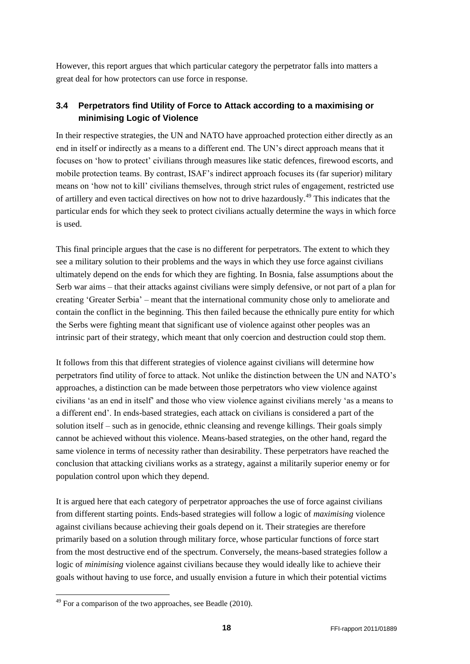However, this report argues that which particular category the perpetrator falls into matters a great deal for how protectors can use force in response.

### **3.4 Perpetrators find Utility of Force to Attack according to a maximising or minimising Logic of Violence**

In their respective strategies, the UN and NATO have approached protection either directly as an end in itself or indirectly as a means to a different end. The UN"s direct approach means that it focuses on "how to protect" civilians through measures like static defences, firewood escorts, and mobile protection teams. By contrast, ISAF"s indirect approach focuses its (far superior) military means on "how not to kill" civilians themselves, through strict rules of engagement, restricted use of artillery and even tactical directives on how not to drive hazardously.<sup>49</sup> This indicates that the particular ends for which they seek to protect civilians actually determine the ways in which force is used.

This final principle argues that the case is no different for perpetrators. The extent to which they see a military solution to their problems and the ways in which they use force against civilians ultimately depend on the ends for which they are fighting. In Bosnia, false assumptions about the Serb war aims – that their attacks against civilians were simply defensive, or not part of a plan for creating "Greater Serbia" – meant that the international community chose only to ameliorate and contain the conflict in the beginning. This then failed because the ethnically pure entity for which the Serbs were fighting meant that significant use of violence against other peoples was an intrinsic part of their strategy, which meant that only coercion and destruction could stop them.

It follows from this that different strategies of violence against civilians will determine how perpetrators find utility of force to attack. Not unlike the distinction between the UN and NATO"s approaches, a distinction can be made between those perpetrators who view violence against civilians "as an end in itself" and those who view violence against civilians merely "as a means to a different end". In ends-based strategies, each attack on civilians is considered a part of the solution itself – such as in genocide, ethnic cleansing and revenge killings. Their goals simply cannot be achieved without this violence. Means-based strategies, on the other hand, regard the same violence in terms of necessity rather than desirability. These perpetrators have reached the conclusion that attacking civilians works as a strategy, against a militarily superior enemy or for population control upon which they depend.

It is argued here that each category of perpetrator approaches the use of force against civilians from different starting points. Ends-based strategies will follow a logic of *maximising* violence against civilians because achieving their goals depend on it. Their strategies are therefore primarily based on a solution through military force, whose particular functions of force start from the most destructive end of the spectrum. Conversely, the means-based strategies follow a logic of *minimising* violence against civilians because they would ideally like to achieve their goals without having to use force, and usually envision a future in which their potential victims

1

 $49$  For a comparison of the two approaches, see Beadle (2010).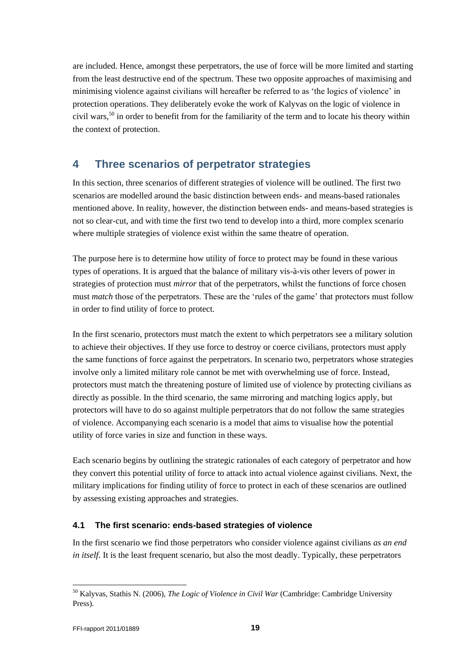are included. Hence, amongst these perpetrators, the use of force will be more limited and starting from the least destructive end of the spectrum. These two opposite approaches of maximising and minimising violence against civilians will hereafter be referred to as "the logics of violence" in protection operations. They deliberately evoke the work of Kalyvas on the logic of violence in civil wars,<sup>50</sup> in order to benefit from for the familiarity of the term and to locate his theory within the context of protection.

### <span id="page-18-0"></span>**4 Three scenarios of perpetrator strategies**

In this section, three scenarios of different strategies of violence will be outlined. The first two scenarios are modelled around the basic distinction between ends- and means-based rationales mentioned above. In reality, however, the distinction between ends- and means-based strategies is not so clear-cut, and with time the first two tend to develop into a third, more complex scenario where multiple strategies of violence exist within the same theatre of operation.

The purpose here is to determine how utility of force to protect may be found in these various types of operations. It is argued that the balance of military vis-à-vis other levers of power in strategies of protection must *mirror* that of the perpetrators, whilst the functions of force chosen must *match* those of the perpetrators. These are the 'rules of the game' that protectors must follow in order to find utility of force to protect.

In the first scenario, protectors must match the extent to which perpetrators see a military solution to achieve their objectives. If they use force to destroy or coerce civilians, protectors must apply the same functions of force against the perpetrators. In scenario two, perpetrators whose strategies involve only a limited military role cannot be met with overwhelming use of force. Instead, protectors must match the threatening posture of limited use of violence by protecting civilians as directly as possible. In the third scenario, the same mirroring and matching logics apply, but protectors will have to do so against multiple perpetrators that do not follow the same strategies of violence. Accompanying each scenario is a model that aims to visualise how the potential utility of force varies in size and function in these ways.

Each scenario begins by outlining the strategic rationales of each category of perpetrator and how they convert this potential utility of force to attack into actual violence against civilians. Next, the military implications for finding utility of force to protect in each of these scenarios are outlined by assessing existing approaches and strategies.

### <span id="page-18-1"></span>**4.1 The first scenario: ends-based strategies of violence**

In the first scenario we find those perpetrators who consider violence against civilians *as an end in itself.* It is the least frequent scenario, but also the most deadly. Typically, these perpetrators

<sup>50</sup> Kalyvas, Stathis N. (2006), *The Logic of Violence in Civil War* (Cambridge: Cambridge University Press).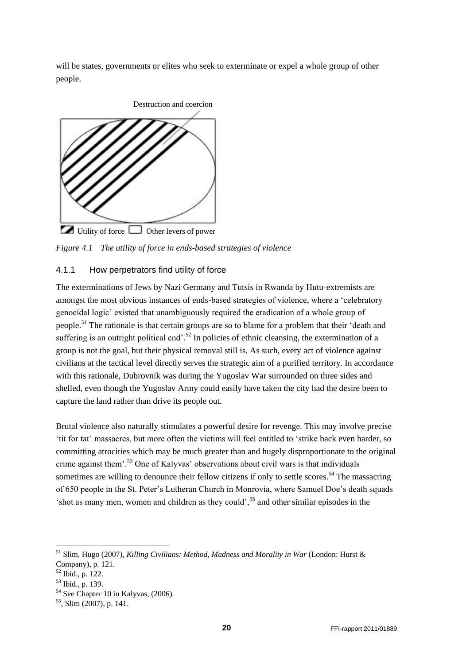will be states, governments or elites who seek to exterminate or expel a whole group of other people.



Utility of force  $\Box$  Other levers of power

*Figure 4.1 The utility of force in ends-based strategies of violence*

#### 4.1.1 How perpetrators find utility of force

The exterminations of Jews by Nazi Germany and Tutsis in Rwanda by Hutu-extremists are amongst the most obvious instances of ends-based strategies of violence, where a "celebratory genocidal logic" existed that unambiguously required the eradication of a whole group of people.<sup>51</sup> The rationale is that certain groups are so to blame for a problem that their "death and suffering is an outright political end'.<sup>52</sup> In policies of ethnic cleansing, the extermination of a group is not the goal, but their physical removal still is. As such, every act of violence against civilians at the tactical level directly serves the strategic aim of a purified territory. In accordance with this rationale, Dubrovnik was during the Yugoslav War surrounded on three sides and shelled, even though the Yugoslav Army could easily have taken the city had the desire been to capture the land rather than drive its people out.

Brutal violence also naturally stimulates a powerful desire for revenge. This may involve precise "tit for tat" massacres, but more often the victims will feel entitled to "strike back even harder, so committing atrocities which may be much greater than and hugely disproportionate to the original crime against them'.<sup>53</sup> One of Kalyvas' observations about civil wars is that individuals sometimes are willing to denounce their fellow citizens if only to settle scores.<sup>54</sup> The massacring of 650 people in the St. Peter's Lutheran Church in Monrovia, where Samuel Doe's death squads  $\cdot$ shot as many men, women and children as they could',  $\frac{55}{10}$  and other similar episodes in the

<sup>51</sup> Slim, Hugo (2007), *Killing Civilians: Method, Madness and Morality in War* (London: Hurst & Company), p. 121.

<sup>52</sup> Ibid., p. 122.

 $53$  Ibid., p. 139.

<sup>&</sup>lt;sup>54</sup> See Chapter 10 in Kalyvas, (2006).

<sup>55</sup> , Slim (2007), p. 141.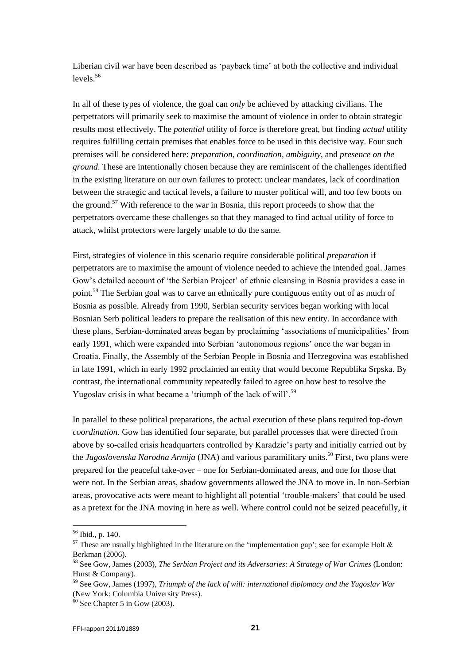Liberian civil war have been described as "payback time" at both the collective and individual levels. 56

In all of these types of violence, the goal can *only* be achieved by attacking civilians. The perpetrators will primarily seek to maximise the amount of violence in order to obtain strategic results most effectively. The *potential* utility of force is therefore great, but finding *actual* utility requires fulfilling certain premises that enables force to be used in this decisive way. Four such premises will be considered here: *preparation*, *coordination*, *ambiguity*, and *presence on the ground*. These are intentionally chosen because they are reminiscent of the challenges identified in the existing literature on our own failures to protect: unclear mandates, lack of coordination between the strategic and tactical levels, a failure to muster political will, and too few boots on the ground.<sup>57</sup> With reference to the war in Bosnia, this report proceeds to show that the perpetrators overcame these challenges so that they managed to find actual utility of force to attack, whilst protectors were largely unable to do the same.

First, strategies of violence in this scenario require considerable political *preparation* if perpetrators are to maximise the amount of violence needed to achieve the intended goal. James Gow"s detailed account of "the Serbian Project" of ethnic cleansing in Bosnia provides a case in point.<sup>58</sup> The Serbian goal was to carve an ethnically pure contiguous entity out of as much of Bosnia as possible. Already from 1990, Serbian security services began working with local Bosnian Serb political leaders to prepare the realisation of this new entity. In accordance with these plans, Serbian-dominated areas began by proclaiming "associations of municipalities" from early 1991, which were expanded into Serbian "autonomous regions" once the war began in Croatia. Finally, the Assembly of the Serbian People in Bosnia and Herzegovina was established in late 1991, which in early 1992 proclaimed an entity that would become Republika Srpska. By contrast, the international community repeatedly failed to agree on how best to resolve the Yugoslav crisis in what became a 'triumph of the lack of will'.<sup>59</sup>

In parallel to these political preparations, the actual execution of these plans required top-down *coordination*. Gow has identified four separate, but parallel processes that were directed from above by so-called crisis headquarters controlled by Karadzic's party and initially carried out by the *Jugoslovenska Narodna Armija* (JNA) and various paramilitary units.<sup>60</sup> First, two plans were prepared for the peaceful take-over – one for Serbian-dominated areas, and one for those that were not. In the Serbian areas, shadow governments allowed the JNA to move in. In non-Serbian areas, provocative acts were meant to highlight all potential "trouble-makers" that could be used as a pretext for the JNA moving in here as well. Where control could not be seized peacefully, it

<sup>56</sup> Ibid., p. 140.

<sup>&</sup>lt;sup>57</sup> These are usually highlighted in the literature on the 'implementation gap'; see for example Holt  $\&$ Berkman (2006).

<sup>58</sup> See Gow, James (2003), *The Serbian Project and its Adversaries: A Strategy of War Crimes* (London: Hurst & Company).

<sup>59</sup> See Gow, James (1997), *Triumph of the lack of will: international diplomacy and the Yugoslav War* (New York: Columbia University Press).

 $60$  See Chapter 5 in Gow (2003).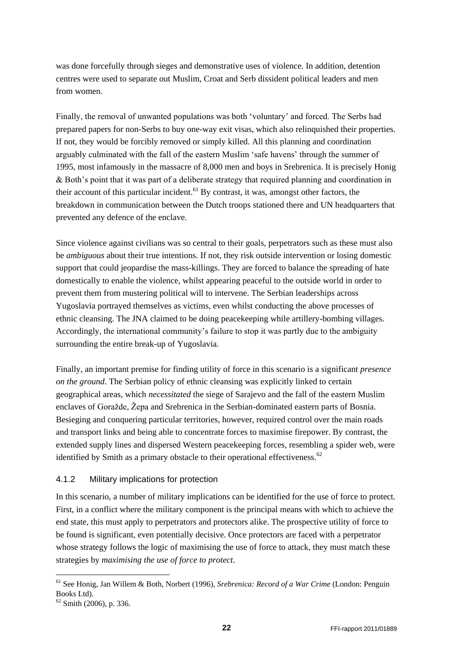was done forcefully through sieges and demonstrative uses of violence. In addition, detention centres were used to separate out Muslim, Croat and Serb dissident political leaders and men from women.

Finally, the removal of unwanted populations was both "voluntary" and forced. The Serbs had prepared papers for non-Serbs to buy one-way exit visas, which also relinquished their properties. If not, they would be forcibly removed or simply killed. All this planning and coordination arguably culminated with the fall of the eastern Muslim "safe havens" through the summer of 1995, most infamously in the massacre of 8,000 men and boys in Srebrenica. It is precisely Honig & Both"s point that it was part of a deliberate strategy that required planning and coordination in their account of this particular incident.<sup>61</sup> By contrast, it was, amongst other factors, the breakdown in communication between the Dutch troops stationed there and UN headquarters that prevented any defence of the enclave.

Since violence against civilians was so central to their goals, perpetrators such as these must also be *ambiguous* about their true intentions. If not, they risk outside intervention or losing domestic support that could jeopardise the mass-killings. They are forced to balance the spreading of hate domestically to enable the violence, whilst appearing peaceful to the outside world in order to prevent them from mustering political will to intervene. The Serbian leaderships across Yugoslavia portrayed themselves as victims, even whilst conducting the above processes of ethnic cleansing. The JNA claimed to be doing peacekeeping while artillery-bombing villages. Accordingly, the international community's failure to stop it was partly due to the ambiguity surrounding the entire break-up of Yugoslavia.

Finally, an important premise for finding utility of force in this scenario is a significant *presence on the ground*. The Serbian policy of ethnic cleansing was explicitly linked to certain geographical areas, which *necessitated* the siege of Sarajevo and the fall of the eastern Muslim enclaves of Goražde*,* Žepa and Srebrenica in the Serbian-dominated eastern parts of Bosnia. Besieging and conquering particular territories, however, required control over the main roads and transport links and being able to concentrate forces to maximise firepower. By contrast, the extended supply lines and dispersed Western peacekeeping forces, resembling a spider web, were identified by Smith as a primary obstacle to their operational effectiveness.<sup>62</sup>

### 4.1.2 Military implications for protection

In this scenario, a number of military implications can be identified for the use of force to protect. First, in a conflict where the military component is the principal means with which to achieve the end state, this must apply to perpetrators and protectors alike. The prospective utility of force to be found is significant, even potentially decisive. Once protectors are faced with a perpetrator whose strategy follows the logic of maximising the use of force to attack, they must match these strategies by *maximising the use of force to protect*.

<sup>61</sup> See Honig, Jan Willem & Both, Norbert (1996), *Srebrenica: Record of a War Crime* (London: Penguin Books Ltd).

 $62$  Smith (2006), p. 336.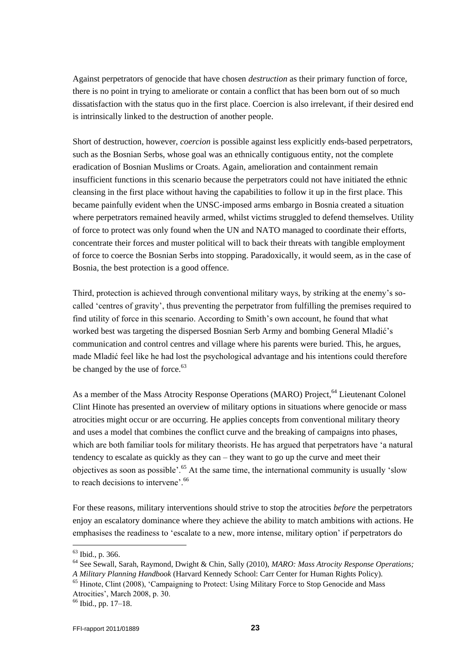Against perpetrators of genocide that have chosen *destruction* as their primary function of force, there is no point in trying to ameliorate or contain a conflict that has been born out of so much dissatisfaction with the status quo in the first place. Coercion is also irrelevant, if their desired end is intrinsically linked to the destruction of another people.

Short of destruction, however, *coercion* is possible against less explicitly ends-based perpetrators, such as the Bosnian Serbs, whose goal was an ethnically contiguous entity, not the complete eradication of Bosnian Muslims or Croats. Again, amelioration and containment remain insufficient functions in this scenario because the perpetrators could not have initiated the ethnic cleansing in the first place without having the capabilities to follow it up in the first place. This became painfully evident when the UNSC-imposed arms embargo in Bosnia created a situation where perpetrators remained heavily armed, whilst victims struggled to defend themselves. Utility of force to protect was only found when the UN and NATO managed to coordinate their efforts, concentrate their forces and muster political will to back their threats with tangible employment of force to coerce the Bosnian Serbs into stopping. Paradoxically, it would seem, as in the case of Bosnia, the best protection is a good offence.

Third, protection is achieved through conventional military ways, by striking at the enemy"s socalled 'centres of gravity', thus preventing the perpetrator from fulfilling the premises required to find utility of force in this scenario. According to Smith"s own account, he found that what worked best was targeting the dispersed Bosnian Serb Army and bombing General Mladić"s communication and control centres and village where his parents were buried. This, he argues, made Mladić feel like he had lost the psychological advantage and his intentions could therefore be changed by the use of force.<sup>63</sup>

As a member of the Mass Atrocity Response Operations (MARO) Project, <sup>64</sup> Lieutenant Colonel Clint Hinote has presented an overview of military options in situations where genocide or mass atrocities might occur or are occurring. He applies concepts from conventional military theory and uses a model that combines the conflict curve and the breaking of campaigns into phases, which are both familiar tools for military theorists. He has argued that perpetrators have "a natural tendency to escalate as quickly as they can – they want to go up the curve and meet their objectives as soon as possible'.<sup>65</sup> At the same time, the international community is usually 'slow to reach decisions to intervene'.<sup>66</sup>

For these reasons, military interventions should strive to stop the atrocities *before* the perpetrators enjoy an escalatory dominance where they achieve the ability to match ambitions with actions. He emphasises the readiness to "escalate to a new, more intense, military option" if perpetrators do

<sup>63</sup> Ibid., p. 366.

<sup>64</sup> See Sewall, Sarah, Raymond, Dwight & Chin, Sally (2010), *MARO: Mass Atrocity Response Operations; A Military Planning Handbook* (Harvard Kennedy School: Carr Center for Human Rights Policy).

<sup>&</sup>lt;sup>65</sup> Hinote, Clint (2008), 'Campaigning to Protect: Using Military Force to Stop Genocide and Mass Atrocities", March 2008, p. 30.

 $66$  Ibid., pp. 17–18.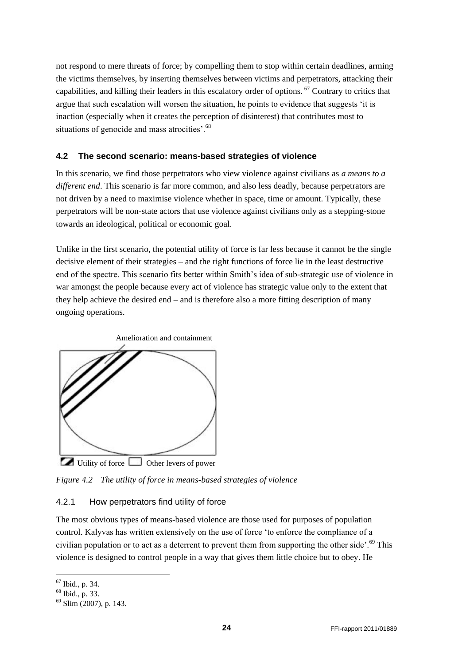not respond to mere threats of force; by compelling them to stop within certain deadlines, arming the victims themselves, by inserting themselves between victims and perpetrators, attacking their capabilities, and killing their leaders in this escalatory order of options. <sup>67</sup> Contrary to critics that argue that such escalation will worsen the situation, he points to evidence that suggests "it is inaction (especially when it creates the perception of disinterest) that contributes most to situations of genocide and mass atrocities'.<sup>68</sup>

### <span id="page-23-0"></span>**4.2 The second scenario: means-based strategies of violence**

In this scenario, we find those perpetrators who view violence against civilians as *a means to a different end*. This scenario is far more common, and also less deadly, because perpetrators are not driven by a need to maximise violence whether in space, time or amount. Typically, these perpetrators will be non-state actors that use violence against civilians only as a stepping-stone towards an ideological, political or economic goal.

Unlike in the first scenario, the potential utility of force is far less because it cannot be the single decisive element of their strategies – and the right functions of force lie in the least destructive end of the spectre. This scenario fits better within Smith"s idea of sub-strategic use of violence in war amongst the people because every act of violence has strategic value only to the extent that they help achieve the desired end – and is therefore also a more fitting description of many ongoing operations.



*Figure 4.2 The utility of force in means-based strategies of violence*

### 4.2.1 How perpetrators find utility of force

The most obvious types of means-based violence are those used for purposes of population control. Kalyvas has written extensively on the use of force "to enforce the compliance of a civilian population or to act as a deterrent to prevent them from supporting the other side'.<sup>69</sup> This violence is designed to control people in a way that gives them little choice but to obey. He

 $67$  Ibid., p. 34.

<sup>68</sup> Ibid., p. 33.

 $69$  Slim (2007), p. 143.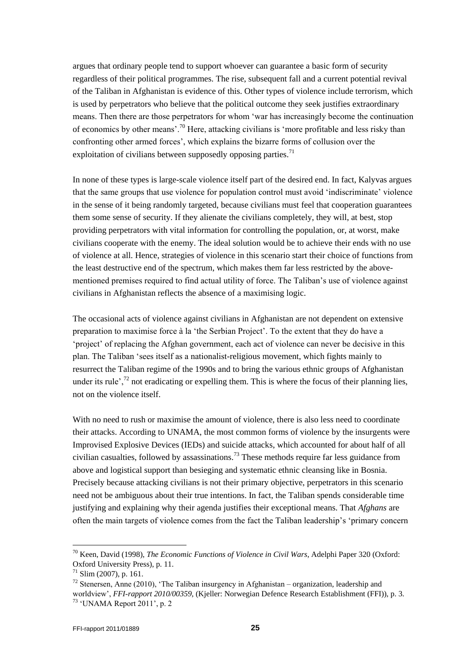argues that ordinary people tend to support whoever can guarantee a basic form of security regardless of their political programmes. The rise, subsequent fall and a current potential revival of the Taliban in Afghanistan is evidence of this. Other types of violence include terrorism, which is used by perpetrators who believe that the political outcome they seek justifies extraordinary means. Then there are those perpetrators for whom "war has increasingly become the continuation of economics by other means'.<sup>70</sup> Here, attacking civilians is 'more profitable and less risky than confronting other armed forces", which explains the bizarre forms of collusion over the exploitation of civilians between supposedly opposing parties.<sup>71</sup>

In none of these types is large-scale violence itself part of the desired end. In fact, Kalyvas argues that the same groups that use violence for population control must avoid "indiscriminate" violence in the sense of it being randomly targeted, because civilians must feel that cooperation guarantees them some sense of security. If they alienate the civilians completely, they will, at best, stop providing perpetrators with vital information for controlling the population, or, at worst, make civilians cooperate with the enemy. The ideal solution would be to achieve their ends with no use of violence at all. Hence, strategies of violence in this scenario start their choice of functions from the least destructive end of the spectrum, which makes them far less restricted by the abovementioned premises required to find actual utility of force. The Taliban"s use of violence against civilians in Afghanistan reflects the absence of a maximising logic.

The occasional acts of violence against civilians in Afghanistan are not dependent on extensive preparation to maximise force à la "the Serbian Project". To the extent that they do have a "project" of replacing the Afghan government, each act of violence can never be decisive in this plan. The Taliban "sees itself as a nationalist-religious movement, which fights mainly to resurrect the Taliban regime of the 1990s and to bring the various ethnic groups of Afghanistan under its rule",<sup>72</sup> not eradicating or expelling them. This is where the focus of their planning lies, not on the violence itself.

With no need to rush or maximise the amount of violence, there is also less need to coordinate their attacks. According to UNAMA, the most common forms of violence by the insurgents were Improvised Explosive Devices (IEDs) and suicide attacks, which accounted for about half of all civilian casualties, followed by assassinations.<sup>73</sup> These methods require far less guidance from above and logistical support than besieging and systematic ethnic cleansing like in Bosnia. Precisely because attacking civilians is not their primary objective, perpetrators in this scenario need not be ambiguous about their true intentions. In fact, the Taliban spends considerable time justifying and explaining why their agenda justifies their exceptional means. That *Afghans* are often the main targets of violence comes from the fact the Taliban leadership"s "primary concern

<sup>70</sup> Keen, David (1998), *The Economic Functions of Violence in Civil Wars*, Adelphi Paper 320 (Oxford: Oxford University Press), p. 11.

 $^{71}$  Slim (2007), p. 161.

 $72$  Stenersen, Anne (2010), 'The Taliban insurgency in Afghanistan – organization, leadership and worldview", *FFI-rapport 2010/00359*, (Kjeller: Norwegian Defence Research Establishment (FFI)), p. 3. <sup>73</sup> "UNAMA Report 2011", p. 2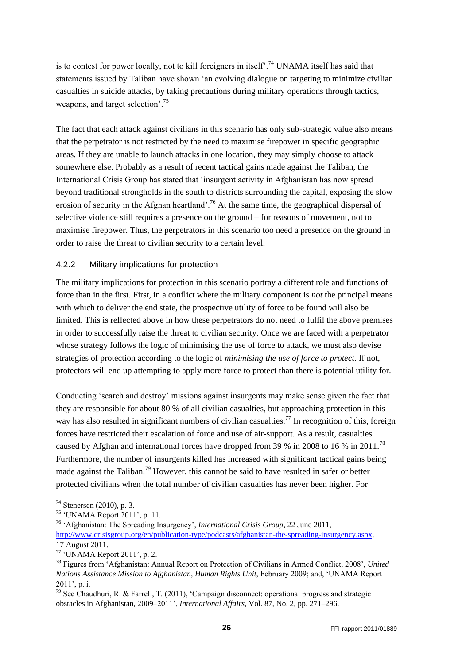is to contest for power locally, not to kill foreigners in itself.<sup>74</sup> UNAMA itself has said that statements issued by Taliban have shown "an evolving dialogue on targeting to minimize civilian casualties in suicide attacks, by taking precautions during military operations through tactics, weapons, and target selection'.<sup>75</sup>

The fact that each attack against civilians in this scenario has only sub-strategic value also means that the perpetrator is not restricted by the need to maximise firepower in specific geographic areas. If they are unable to launch attacks in one location, they may simply choose to attack somewhere else. Probably as a result of recent tactical gains made against the Taliban, the International Crisis Group has stated that "insurgent activity in Afghanistan has now spread beyond traditional strongholds in the south to districts surrounding the capital, exposing the slow erosion of security in the Afghan heartland'.<sup>76</sup> At the same time, the geographical dispersal of selective violence still requires a presence on the ground – for reasons of movement, not to maximise firepower. Thus, the perpetrators in this scenario too need a presence on the ground in order to raise the threat to civilian security to a certain level.

### 4.2.2 Military implications for protection

The military implications for protection in this scenario portray a different role and functions of force than in the first. First, in a conflict where the military component is *not* the principal means with which to deliver the end state, the prospective utility of force to be found will also be limited. This is reflected above in how these perpetrators do not need to fulfil the above premises in order to successfully raise the threat to civilian security. Once we are faced with a perpetrator whose strategy follows the logic of minimising the use of force to attack, we must also devise strategies of protection according to the logic of *minimising the use of force to protect*. If not, protectors will end up attempting to apply more force to protect than there is potential utility for.

Conducting "search and destroy" missions against insurgents may make sense given the fact that they are responsible for about 80 % of all civilian casualties, but approaching protection in this way has also resulted in significant numbers of civilian casualties.<sup>77</sup> In recognition of this, foreign forces have restricted their escalation of force and use of air-support. As a result, casualties caused by Afghan and international forces have dropped from 39 % in 2008 to 16 % in 2011.<sup>78</sup> Furthermore, the number of insurgents killed has increased with significant tactical gains being made against the Taliban.<sup>79</sup> However, this cannot be said to have resulted in safer or better protected civilians when the total number of civilian casualties has never been higher. For

<sup>74</sup> Stenersen (2010), p. 3.

<sup>75</sup> "UNAMA Report 2011", p. 11.

<sup>76</sup> "Afghanistan: The Spreading Insurgency", *International Crisis Group*, 22 June 2011, [http://www.crisisgroup.org/en/publication-type/podcasts/afghanistan-the-spreading-insurgency.aspx,](http://www.crisisgroup.org/en/publication-type/podcasts/afghanistan-the-spreading-insurgency.aspx) 17 August 2011.

 $77$  'UNAMA Report 2011', p. 2.

<sup>78</sup> Figures from "Afghanistan: Annual Report on Protection of Civilians in Armed Conflict, 2008", *United Nations Assistance Mission to Afghanistan, Human Rights Unit*, February 2009; and, "UNAMA Report  $2011$ ', p. i.

<sup>&</sup>lt;sup>79</sup> See Chaudhuri, R. & Farrell, T. (2011), 'Campaign disconnect: operational progress and strategic obstacles in Afghanistan, 2009–2011", *International Affairs*, Vol. 87, No. 2, pp. 271–296.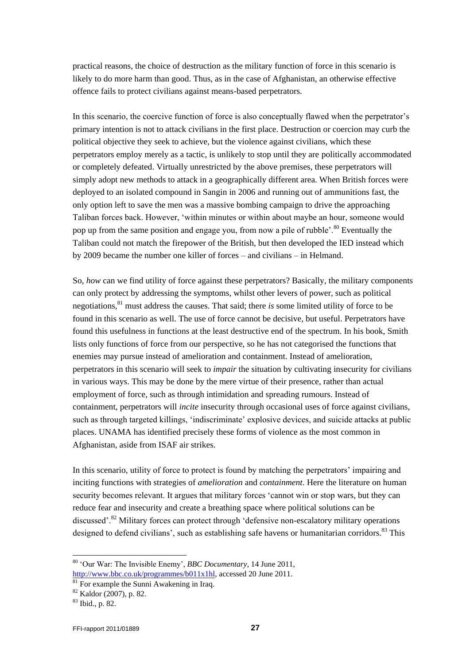practical reasons, the choice of destruction as the military function of force in this scenario is likely to do more harm than good. Thus, as in the case of Afghanistan, an otherwise effective offence fails to protect civilians against means-based perpetrators.

In this scenario, the coercive function of force is also conceptually flawed when the perpetrator's primary intention is not to attack civilians in the first place. Destruction or coercion may curb the political objective they seek to achieve, but the violence against civilians, which these perpetrators employ merely as a tactic, is unlikely to stop until they are politically accommodated or completely defeated. Virtually unrestricted by the above premises, these perpetrators will simply adopt new methods to attack in a geographically different area. When British forces were deployed to an isolated compound in Sangin in 2006 and running out of ammunitions fast, the only option left to save the men was a massive bombing campaign to drive the approaching Taliban forces back. However, "within minutes or within about maybe an hour, someone would pop up from the same position and engage you, from now a pile of rubble'.<sup>80</sup> Eventually the Taliban could not match the firepower of the British, but then developed the IED instead which by 2009 became the number one killer of forces – and civilians – in Helmand.

So, *how* can we find utility of force against these perpetrators? Basically, the military components can only protect by addressing the symptoms, whilst other levers of power, such as political negotiations,<sup>81</sup> must address the causes. That said; there *is* some limited utility of force to be found in this scenario as well. The use of force cannot be decisive, but useful. Perpetrators have found this usefulness in functions at the least destructive end of the spectrum. In his book, Smith lists only functions of force from our perspective, so he has not categorised the functions that enemies may pursue instead of amelioration and containment. Instead of amelioration, perpetrators in this scenario will seek to *impair* the situation by cultivating insecurity for civilians in various ways. This may be done by the mere virtue of their presence, rather than actual employment of force, such as through intimidation and spreading rumours. Instead of containment, perpetrators will *incite* insecurity through occasional uses of force against civilians, such as through targeted killings, "indiscriminate" explosive devices, and suicide attacks at public places. UNAMA has identified precisely these forms of violence as the most common in Afghanistan, aside from ISAF air strikes.

In this scenario, utility of force to protect is found by matching the perpetrators' impairing and inciting functions with strategies of *amelioration* and *containment*. Here the literature on human security becomes relevant. It argues that military forces "cannot win or stop wars, but they can reduce fear and insecurity and create a breathing space where political solutions can be discussed".<sup>82</sup> Military forces can protect through 'defensive non-escalatory military operations designed to defend civilians', such as establishing safe havens or humanitarian corridors.<sup>83</sup> This

<sup>80</sup> "Our War: The Invisible Enemy", *BBC Documentary*, 14 June 2011, [http://www.bbc.co.uk/programmes/b011x1hl,](http://www.bbc.co.uk/programmes/b011x1hl) accessed 20 June 2011.

 $81$  For example the Sunni Awakening in Iraq.

<sup>82</sup> Kaldor (2007), p. 82.

<sup>83</sup> Ibid., p. 82.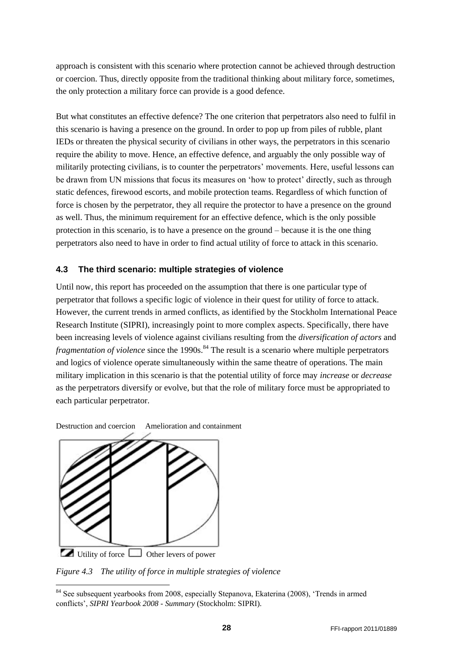approach is consistent with this scenario where protection cannot be achieved through destruction or coercion. Thus, directly opposite from the traditional thinking about military force, sometimes, the only protection a military force can provide is a good defence.

But what constitutes an effective defence? The one criterion that perpetrators also need to fulfil in this scenario is having a presence on the ground. In order to pop up from piles of rubble, plant IEDs or threaten the physical security of civilians in other ways, the perpetrators in this scenario require the ability to move. Hence, an effective defence, and arguably the only possible way of militarily protecting civilians, is to counter the perpetrators' movements. Here, useful lessons can be drawn from UN missions that focus its measures on 'how to protect' directly, such as through static defences, firewood escorts, and mobile protection teams. Regardless of which function of force is chosen by the perpetrator, they all require the protector to have a presence on the ground as well. Thus, the minimum requirement for an effective defence, which is the only possible protection in this scenario, is to have a presence on the ground – because it is the one thing perpetrators also need to have in order to find actual utility of force to attack in this scenario.

#### <span id="page-27-0"></span>**4.3 The third scenario: multiple strategies of violence**

Until now, this report has proceeded on the assumption that there is one particular type of perpetrator that follows a specific logic of violence in their quest for utility of force to attack. However, the current trends in armed conflicts, as identified by the Stockholm International Peace Research Institute (SIPRI), increasingly point to more complex aspects. Specifically, there have been increasing levels of violence against civilians resulting from the *diversification of actors* and *fragmentation of violence* since the 1990s.<sup>84</sup> The result is a scenario where multiple perpetrators and logics of violence operate simultaneously within the same theatre of operations. The main military implication in this scenario is that the potential utility of force may *increase* or *decrease* as the perpetrators diversify or evolve, but that the role of military force must be appropriated to each particular perpetrator.

Destruction and coercion Amelioration and containment



Utility of force  $\Box$  Other levers of power

*Figure 4.3 The utility of force in multiple strategies of violence*

<sup>&</sup>lt;sup>84</sup> See subsequent yearbooks from 2008, especially Stepanova, Ekaterina (2008), 'Trends in armed conflicts", *SIPRI Yearbook 2008 - Summary* (Stockholm: SIPRI).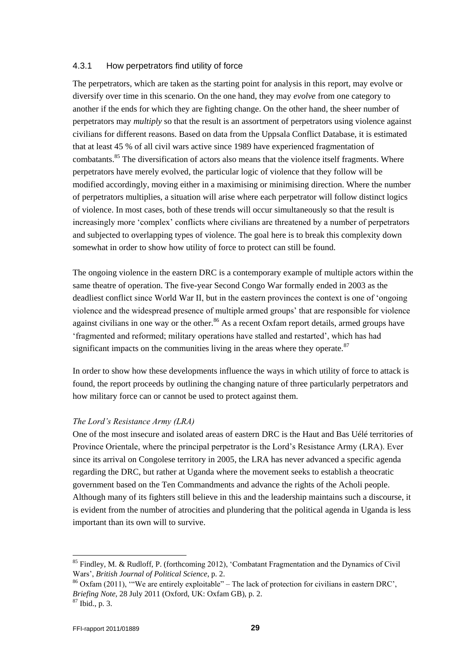#### 4.3.1 How perpetrators find utility of force

The perpetrators, which are taken as the starting point for analysis in this report, may evolve or diversify over time in this scenario. On the one hand, they may *evolve* from one category to another if the ends for which they are fighting change. On the other hand, the sheer number of perpetrators may *multiply* so that the result is an assortment of perpetrators using violence against civilians for different reasons. Based on data from the Uppsala Conflict Database, it is estimated that at least 45 % of all civil wars active since 1989 have experienced fragmentation of combatants.<sup>85</sup> The diversification of actors also means that the violence itself fragments. Where perpetrators have merely evolved, the particular logic of violence that they follow will be modified accordingly, moving either in a maximising or minimising direction. Where the number of perpetrators multiplies, a situation will arise where each perpetrator will follow distinct logics of violence. In most cases, both of these trends will occur simultaneously so that the result is increasingly more "complex" conflicts where civilians are threatened by a number of perpetrators and subjected to overlapping types of violence. The goal here is to break this complexity down somewhat in order to show how utility of force to protect can still be found.

The ongoing violence in the eastern DRC is a contemporary example of multiple actors within the same theatre of operation. The five-year Second Congo War formally ended in 2003 as the deadliest conflict since World War II, but in the eastern provinces the context is one of "ongoing violence and the widespread presence of multiple armed groups" that are responsible for violence against civilians in one way or the other.<sup>86</sup> As a recent Oxfam report details, armed groups have "fragmented and reformed; military operations have stalled and restarted", which has had significant impacts on the communities living in the areas where they operate. $87$ 

In order to show how these developments influence the ways in which utility of force to attack is found, the report proceeds by outlining the changing nature of three particularly perpetrators and how military force can or cannot be used to protect against them.

#### *The Lord's Resistance Army (LRA)*

One of the most insecure and isolated areas of eastern DRC is the Haut and Bas Uélé territories of Province Orientale, where the principal perpetrator is the Lord"s Resistance Army (LRA). Ever since its arrival on Congolese territory in 2005, the LRA has never advanced a specific agenda regarding the DRC, but rather at Uganda where the movement seeks to establish a theocratic government based on the Ten Commandments and advance the rights of the Acholi people. Although many of its fighters still believe in this and the leadership maintains such a discourse, it is evident from the number of atrocities and plundering that the political agenda in Uganda is less important than its own will to survive.

<sup>&</sup>lt;sup>85</sup> Findley, M. & Rudloff, P. (forthcoming 2012), 'Combatant Fragmentation and the Dynamics of Civil Wars", *British Journal of Political Science*, p. 2.

 $86$  Oxfam (2011), "We are entirely exploitable" – The lack of protection for civilians in eastern DRC', *Briefing Note*, 28 July 2011 (Oxford, UK: Oxfam GB), p. 2.

<sup>87</sup> Ibid., p. 3.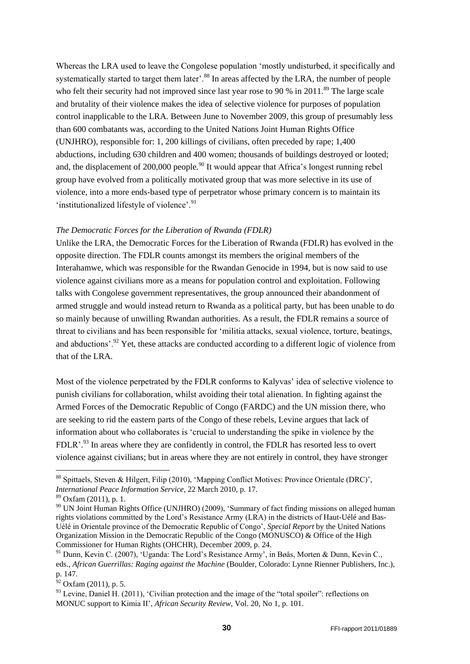Whereas the LRA used to leave the Congolese population "mostly undisturbed, it specifically and systematically started to target them later'.<sup>88</sup> In areas affected by the LRA, the number of people who felt their security had not improved since last year rose to 90 % in 2011.<sup>89</sup> The large scale and brutality of their violence makes the idea of selective violence for purposes of population control inapplicable to the LRA. Between June to November 2009, this group of presumably less than 600 combatants was, according to the United Nations Joint Human Rights Office (UNJHRO), responsible for: 1, 200 killings of civilians, often preceded by rape; 1,400 abductions, including 630 children and 400 women; thousands of buildings destroyed or looted; and, the displacement of  $200,000$  people.<sup>90</sup> It would appear that Africa's longest running rebel group have evolved from a politically motivated group that was more selective in its use of violence, into a more ends-based type of perpetrator whose primary concern is to maintain its 'institutionalized lifestyle of violence'.<sup>91</sup>

#### *The Democratic Forces for the Liberation of Rwanda (FDLR)*

Unlike the LRA, the Democratic Forces for the Liberation of Rwanda (FDLR) has evolved in the opposite direction. The FDLR counts amongst its members the original members of the Interahamwe, which was responsible for the Rwandan Genocide in 1994, but is now said to use violence against civilians more as a means for population control and exploitation. Following talks with Congolese government representatives, the group announced their abandonment of armed struggle and would instead return to Rwanda as a political party, but has been unable to do so mainly because of unwilling Rwandan authorities. As a result, the FDLR remains a source of threat to civilians and has been responsible for "militia attacks, sexual violence, torture, beatings, and abductions'.<sup>92</sup> Yet, these attacks are conducted according to a different logic of violence from that of the LRA.

Most of the violence perpetrated by the FDLR conforms to Kalyvas' idea of selective violence to punish civilians for collaboration, whilst avoiding their total alienation. In fighting against the Armed Forces of the Democratic Republic of Congo (FARDC) and the UN mission there, who are seeking to rid the eastern parts of the Congo of these rebels, Levine argues that lack of information about who collaborates is "crucial to understanding the spike in violence by the FDLR'<sup>93</sup>. In areas where they are confidently in control, the FDLR has resorted less to overt violence against civilians; but in areas where they are not entirely in control, they have stronger

<sup>&</sup>lt;sup>88</sup> Spittaels, Steven & Hilgert, Filip (2010), 'Mapping Conflict Motives: Province Orientale (DRC)', *International Peace Information Service*, 22 March 2010, p. 17.

 $89$  Oxfam (2011), p. 1.

<sup>&</sup>lt;sup>90</sup> UN Joint Human Rights Office (UNJHRO) (2009), 'Summary of fact finding missions on alleged human rights violations committed by the Lord"s Resistance Army (LRA) in the districts of Haut-Uélé and Bas-Uélé in Orientale province of the Democratic Republic of Congo", *Special Report* by the United Nations Organization Mission in the Democratic Republic of the Congo (MONUSCO) & Office of the High Commissioner for Human Rights (OHCHR), December 2009, p. 24.

<sup>&</sup>lt;sup>91</sup> Dunn, Kevin C. (2007), 'Uganda: The Lord's Resistance Army', in Bøås, Morten & Dunn, Kevin C., eds., *African Guerrillas: Raging against the Machine* (Boulder, Colorado: Lynne Rienner Publishers, Inc.), p. 147.

 $^{52}$  Oxfam (2011), p. 5.

<sup>&</sup>lt;sup>93</sup> Levine, Daniel H. (2011), 'Civilian protection and the image of the "total spoiler": reflections on MONUC support to Kimia II", *African Security Review*, Vol. 20, No 1, p. 101.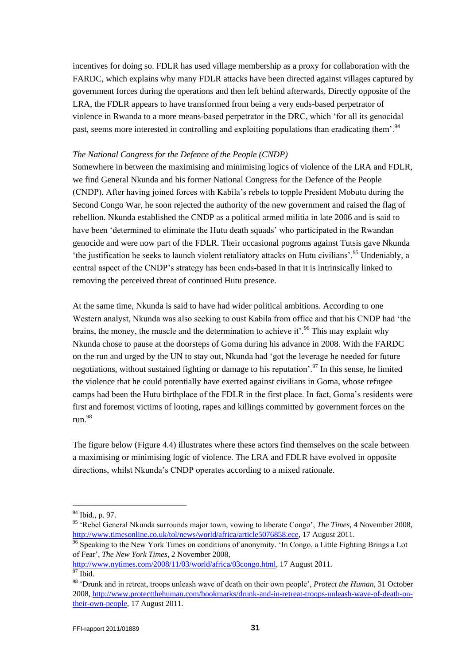incentives for doing so. FDLR has used village membership as a proxy for collaboration with the FARDC, which explains why many FDLR attacks have been directed against villages captured by government forces during the operations and then left behind afterwards. Directly opposite of the LRA, the FDLR appears to have transformed from being a very ends-based perpetrator of violence in Rwanda to a more means-based perpetrator in the DRC, which "for all its genocidal past, seems more interested in controlling and exploiting populations than eradicating them'.<sup>94</sup>

#### *The National Congress for the Defence of the People (CNDP)*

Somewhere in between the maximising and minimising logics of violence of the LRA and FDLR, we find General Nkunda and his former National Congress for the Defence of the People (CNDP). After having joined forces with Kabila"s rebels to topple President Mobutu during the Second Congo War, he soon rejected the authority of the new government and raised the flag of rebellion. Nkunda established the CNDP as a political armed militia in late 2006 and is said to have been 'determined to eliminate the Hutu death squads' who participated in the Rwandan genocide and were now part of the FDLR. Their occasional pogroms against Tutsis gave Nkunda the justification he seeks to launch violent retaliatory attacks on Hutu civilians'.<sup>95</sup> Undeniably, a central aspect of the CNDP"s strategy has been ends-based in that it is intrinsically linked to removing the perceived threat of continued Hutu presence.

At the same time, Nkunda is said to have had wider political ambitions. According to one Western analyst, Nkunda was also seeking to oust Kabila from office and that his CNDP had "the brains, the money, the muscle and the determination to achieve it'.<sup>96</sup> This may explain why Nkunda chose to pause at the doorsteps of Goma during his advance in 2008. With the FARDC on the run and urged by the UN to stay out, Nkunda had "got the leverage he needed for future negotiations, without sustained fighting or damage to his reputation'.<sup>97</sup> In this sense, he limited the violence that he could potentially have exerted against civilians in Goma, whose refugee camps had been the Hutu birthplace of the FDLR in the first place. In fact, Goma's residents were first and foremost victims of looting, rapes and killings committed by government forces on the run.<sup>98</sup>

The figure below (Figure 4.4) illustrates where these actors find themselves on the scale between a maximising or minimising logic of violence. The LRA and FDLR have evolved in opposite directions, whilst Nkunda"s CNDP operates according to a mixed rationale.

 $94$  Ibid., p. 97.

<sup>95</sup> "Rebel General Nkunda surrounds major town, vowing to liberate Congo", *The Times*, 4 November 2008, [http://www.timesonline.co.uk/tol/news/world/africa/article5076858.ece,](http://www.timesonline.co.uk/tol/news/world/africa/article5076858.ece) 17 August 2011.

<sup>&</sup>lt;sup>96</sup> Speaking to the New York Times on conditions of anonymity. 'In Congo, a Little Fighting Brings a Lot of Fear", *The New York Times*, 2 November 2008,

[http://www.nytimes.com/2008/11/03/world/africa/03congo.html,](http://www.nytimes.com/2008/11/03/world/africa/03congo.html) 17 August 2011.  $\frac{1}{97}$  Ibid.

<sup>98</sup> "Drunk and in retreat, troops unleash wave of death on their own people", *Protect the Human*, 31 October 2008, [http://www.protectthehuman.com/bookmarks/drunk-and-in-retreat-troops-unleash-wave-of-death-on](http://www.protectthehuman.com/bookmarks/drunk-and-in-retreat-troops-unleash-wave-of-death-on-their-own-people)[their-own-people,](http://www.protectthehuman.com/bookmarks/drunk-and-in-retreat-troops-unleash-wave-of-death-on-their-own-people) 17 August 2011.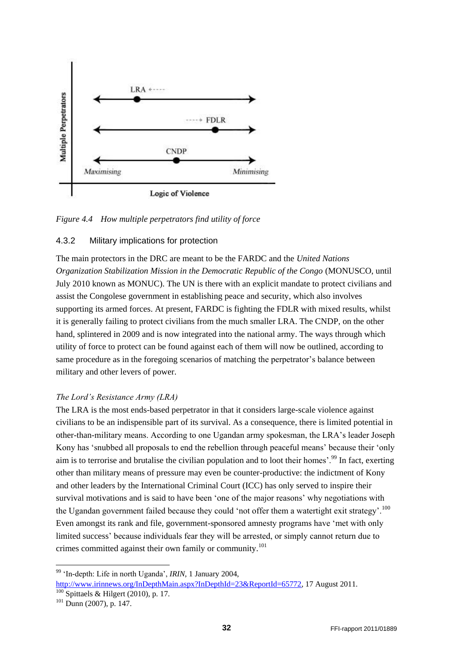

*Figure 4.4 How multiple perpetrators find utility of force*

#### 4.3.2 Military implications for protection

The main protectors in the DRC are meant to be the FARDC and the *United Nations Organization Stabilization Mission in the Democratic Republic of the Congo* (MONUSCO, until July 2010 known as MONUC). The UN is there with an explicit mandate to protect civilians and assist the Congolese government in establishing peace and security, which also involves supporting its armed forces. At present, FARDC is fighting the FDLR with mixed results, whilst it is generally failing to protect civilians from the much smaller LRA. The CNDP, on the other hand, splintered in 2009 and is now integrated into the national army. The ways through which utility of force to protect can be found against each of them will now be outlined, according to same procedure as in the foregoing scenarios of matching the perpetrator"s balance between military and other levers of power.

#### *The Lord's Resistance Army (LRA)*

The LRA is the most ends-based perpetrator in that it considers large-scale violence against civilians to be an indispensible part of its survival. As a consequence, there is limited potential in other-than-military means. According to one Ugandan army spokesman, the LRA"s leader Joseph Kony has 'snubbed all proposals to end the rebellion through peaceful means' because their 'only aim is to terrorise and brutalise the civilian population and to loot their homes'.<sup>99</sup> In fact, exerting other than military means of pressure may even be counter-productive: the indictment of Kony and other leaders by the International Criminal Court (ICC) has only served to inspire their survival motivations and is said to have been "one of the major reasons" why negotiations with the Ugandan government failed because they could 'not offer them a watertight exit strategy'.<sup>100</sup> Even amongst its rank and file, government-sponsored amnesty programs have "met with only limited success" because individuals fear they will be arrested, or simply cannot return due to crimes committed against their own family or community.<sup>101</sup>

1

<sup>99</sup> "In-depth: Life in north Uganda", *IRIN*, 1 January 2004, [http://www.irinnews.org/InDepthMain.aspx?InDepthId=23&ReportId=65772,](http://www.irinnews.org/InDepthMain.aspx?InDepthId=23&ReportId=65772) 17 August 2011.

 $\frac{100}{200}$  Spittaels & Hilgert (2010), p. 17.

 $^{101}$  Dunn (2007), p. 147.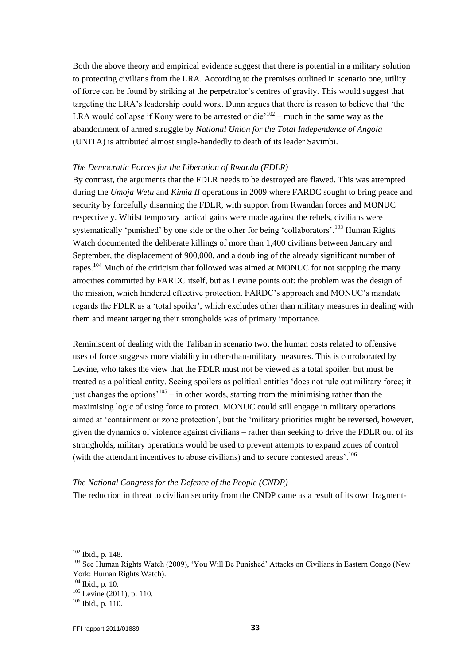Both the above theory and empirical evidence suggest that there is potential in a military solution to protecting civilians from the LRA. According to the premises outlined in scenario one, utility of force can be found by striking at the perpetrator"s centres of gravity. This would suggest that targeting the LRA"s leadership could work. Dunn argues that there is reason to believe that "the LRA would collapse if Kony were to be arrested or die<sup> $102$ </sup> – much in the same way as the abandonment of armed struggle by *National Union for the Total Independence of Angola* (UNITA) is attributed almost single-handedly to death of its leader Savimbi.

#### *The Democratic Forces for the Liberation of Rwanda (FDLR)*

By contrast, the arguments that the FDLR needs to be destroyed are flawed. This was attempted during the *Umoja Wetu* and *Kimia II* operations in 2009 where FARDC sought to bring peace and security by forcefully disarming the FDLR, with support from Rwandan forces and MONUC respectively. Whilst temporary tactical gains were made against the rebels, civilians were systematically 'punished' by one side or the other for being 'collaborators'.<sup>103</sup> Human Rights Watch documented the deliberate killings of more than 1,400 civilians between January and September, the displacement of 900,000, and a doubling of the already significant number of rapes.<sup>104</sup> Much of the criticism that followed was aimed at MONUC for not stopping the many atrocities committed by FARDC itself, but as Levine points out: the problem was the design of the mission, which hindered effective protection. FARDC"s approach and MONUC"s mandate regards the FDLR as a "total spoiler", which excludes other than military measures in dealing with them and meant targeting their strongholds was of primary importance.

Reminiscent of dealing with the Taliban in scenario two, the human costs related to offensive uses of force suggests more viability in other-than-military measures. This is corroborated by Levine, who takes the view that the FDLR must not be viewed as a total spoiler, but must be treated as a political entity. Seeing spoilers as political entities "does not rule out military force; it just changes the options<sup> $105$ </sup> – in other words, starting from the minimising rather than the maximising logic of using force to protect. MONUC could still engage in military operations aimed at "containment or zone protection", but the "military priorities might be reversed, however, given the dynamics of violence against civilians – rather than seeking to drive the FDLR out of its strongholds, military operations would be used to prevent attempts to expand zones of control (with the attendant incentives to abuse civilians) and to secure contested areas'.<sup>106</sup>

#### *The National Congress for the Defence of the People (CNDP)*

The reduction in threat to civilian security from the CNDP came as a result of its own fragment-

l

<sup>103</sup> See Human Rights Watch (2009), 'You Will Be Punished' Attacks on Civilians in Eastern Congo (New York: Human Rights Watch).

 $102$  Ibid., p. 148.

 $104$  Ibid., p. 10.

<sup>105</sup> Levine (2011), p. 110.

 $106$  Ibid., p. 110.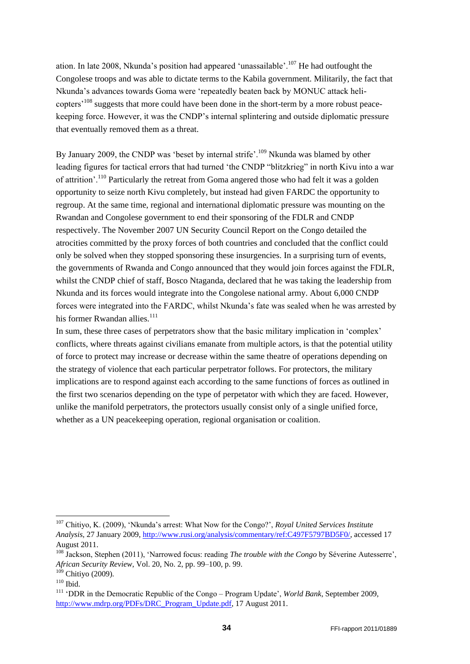ation. In late 2008, Nkunda's position had appeared 'unassailable'.<sup>107</sup> He had outfought the Congolese troops and was able to dictate terms to the Kabila government. Militarily, the fact that Nkunda"s advances towards Goma were "repeatedly beaten back by MONUC attack helicopters<sup>108</sup> suggests that more could have been done in the short-term by a more robust peacekeeping force. However, it was the CNDP"s internal splintering and outside diplomatic pressure that eventually removed them as a threat.

By January 2009, the CNDP was 'beset by internal strife'.<sup>109</sup> Nkunda was blamed by other leading figures for tactical errors that had turned 'the CNDP "blitzkrieg" in north Kivu into a war of attrition'.<sup>110</sup> Particularly the retreat from Goma angered those who had felt it was a golden opportunity to seize north Kivu completely, but instead had given FARDC the opportunity to regroup. At the same time, regional and international diplomatic pressure was mounting on the Rwandan and Congolese government to end their sponsoring of the FDLR and CNDP respectively. The November 2007 UN Security Council Report on the Congo detailed the atrocities committed by the proxy forces of both countries and concluded that the conflict could only be solved when they stopped sponsoring these insurgencies. In a surprising turn of events, the governments of Rwanda and Congo announced that they would join forces against the FDLR, whilst the CNDP chief of staff, Bosco Ntaganda, declared that he was taking the leadership from Nkunda and its forces would integrate into the Congolese national army. About 6,000 CNDP forces were integrated into the FARDC, whilst Nkunda"s fate was sealed when he was arrested by his former Rwandan allies.<sup>111</sup>

In sum, these three cases of perpetrators show that the basic military implication in 'complex' conflicts, where threats against civilians emanate from multiple actors, is that the potential utility of force to protect may increase or decrease within the same theatre of operations depending on the strategy of violence that each particular perpetrator follows. For protectors, the military implications are to respond against each according to the same functions of forces as outlined in the first two scenarios depending on the type of perpetator with which they are faced. However, unlike the manifold perpetrators, the protectors usually consist only of a single unified force, whether as a UN peace keeping operation, regional organisation or coalition.

<span id="page-33-0"></span> $\overline{a}$ 

<sup>107</sup> Chitiyo, K. (2009), "Nkunda"s arrest: What Now for the Congo?", *Royal United Services Institute Analysis*, 27 January 2009, [http://www.rusi.org/analysis/commentary/ref:C497F5797BD5F0/,](http://www.rusi.org/analysis/commentary/ref:C497F5797BD5F0/) accessed 17 August 2011.

<sup>&</sup>lt;sup>108</sup> Jackson, Stephen (2011), 'Narrowed focus: reading *The trouble with the Congo* by Séverine Autesserre', *African Security Review*, Vol. 20, No. 2, pp. 99–100, p. 99.

 $109$  Chitiyo (2009).

 $110$  Ibid.

<sup>&</sup>lt;sup>111</sup> 'DDR in the Democratic Republic of the Congo – Program Update', *World Bank*, September 2009, [http://www.mdrp.org/PDFs/DRC\\_Program\\_Update.pdf,](http://www.mdrp.org/PDFs/DRC_Program_Update.pdf) 17 August 2011.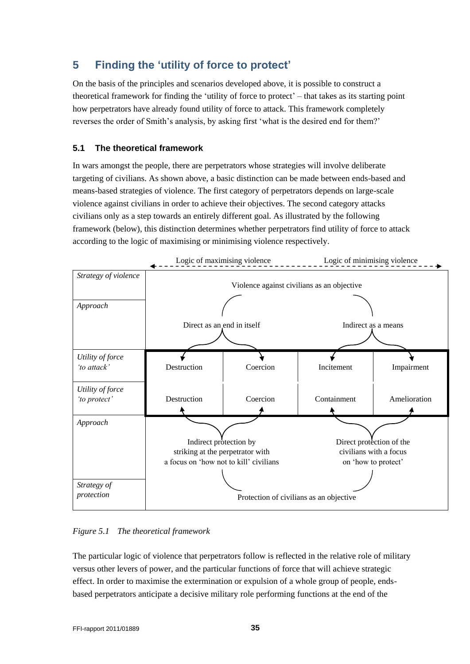# **5 Finding the 'utility of force to protect'**

On the basis of the principles and scenarios developed above, it is possible to construct a theoretical framework for finding the "utility of force to protect" – that takes as its starting point how perpetrators have already found utility of force to attack. This framework completely reverses the order of Smith"s analysis, by asking first "what is the desired end for them?"

### <span id="page-34-0"></span>**5.1 The theoretical framework**

In wars amongst the people, there are perpetrators whose strategies will involve deliberate targeting of civilians. As shown above, a basic distinction can be made between ends-based and means-based strategies of violence. The first category of perpetrators depends on large-scale violence against civilians in order to achieve their objectives. The second category attacks civilians only as a step towards an entirely different goal. As illustrated by the following framework (below), this distinction determines whether perpetrators find utility of force to attack according to the logic of maximising or minimising violence respectively.



*Figure 5.1 The theoretical framework*

The particular logic of violence that perpetrators follow is reflected in the relative role of military versus other levers of power, and the particular functions of force that will achieve strategic effect. In order to maximise the extermination or expulsion of a whole group of people, endsbased perpetrators anticipate a decisive military role performing functions at the end of the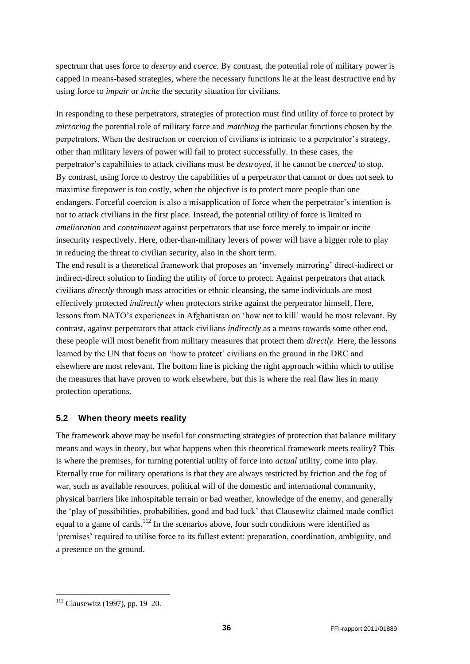spectrum that uses force to *destroy* and *coerce*. By contrast, the potential role of military power is capped in means-based strategies, where the necessary functions lie at the least destructive end by using force to *impair* or *incite* the security situation for civilians.

In responding to these perpetrators, strategies of protection must find utility of force to protect by *mirroring* the potential role of military force and *matching* the particular functions chosen by the perpetrators. When the destruction or coercion of civilians is intrinsic to a perpetrator"s strategy, other than military levers of power will fail to protect successfully. In these cases, the perpetrator"s capabilities to attack civilians must be *destroyed*, if he cannot be *coerced* to stop. By contrast, using force to destroy the capabilities of a perpetrator that cannot or does not seek to maximise firepower is too costly, when the objective is to protect more people than one endangers. Forceful coercion is also a misapplication of force when the perpetrator's intention is not to attack civilians in the first place. Instead, the potential utility of force is limited to *amelioration* and *containment* against perpetrators that use force merely to impair or incite insecurity respectively. Here, other-than-military levers of power will have a bigger role to play in reducing the threat to civilian security, also in the short term.

The end result is a theoretical framework that proposes an "inversely mirroring" direct-indirect or indirect-direct solution to finding the utility of force to protect. Against perpetrators that attack civilians *directly* through mass atrocities or ethnic cleansing, the same individuals are most effectively protected *indirectly* when protectors strike against the perpetrator himself. Here, lessons from NATO"s experiences in Afghanistan on "how not to kill" would be most relevant. By contrast, against perpetrators that attack civilians *indirectly* as a means towards some other end, these people will most benefit from military measures that protect them *directly*. Here, the lessons learned by the UN that focus on "how to protect" civilians on the ground in the DRC and elsewhere are most relevant. The bottom line is picking the right approach within which to utilise the measures that have proven to work elsewhere, but this is where the real flaw lies in many protection operations.

### <span id="page-35-0"></span>**5.2 When theory meets reality**

The framework above may be useful for constructing strategies of protection that balance military means and ways in theory, but what happens when this theoretical framework meets reality? This is where the premises, for turning potential utility of force into *actual* utility, come into play. Eternally true for military operations is that they are always restricted by friction and the fog of war, such as available resources, political will of the domestic and international community, physical barriers like inhospitable terrain or bad weather, knowledge of the enemy, and generally the "play of possibilities, probabilities, good and bad luck" that Clausewitz claimed made conflict equal to a game of cards.<sup>112</sup> In the scenarios above, four such conditions were identified as 'premises' required to utilise force to its fullest extent: preparation, coordination, ambiguity, and a presence on the ground.

1

<sup>112</sup> Clausewitz (1997), pp. 19–20.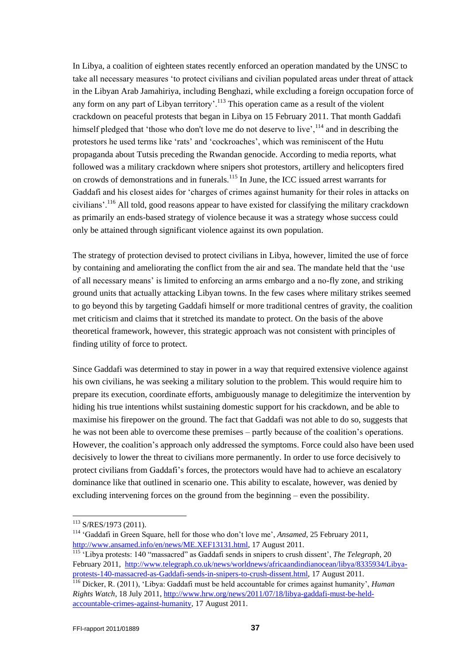In Libya, a coalition of eighteen states recently enforced an operation mandated by the UNSC to take all necessary measures "to protect civilians and civilian populated areas under threat of attack in the Libyan Arab Jamahiriya, including Benghazi, while excluding a foreign occupation force of any form on any part of Libyan territory'.<sup>113</sup> This operation came as a result of the violent crackdown on peaceful protests that began in Libya on 15 February 2011. That month Gaddafi himself pledged that 'those who don't love me do not deserve to live', <sup>114</sup> and in describing the protestors he used terms like 'rats' and 'cockroaches', which was reminiscent of the Hutu propaganda about Tutsis preceding the Rwandan genocide. According to media reports, what followed was a military crackdown where snipers shot protestors, artillery and helicopters fired on crowds of demonstrations and in funerals.<sup>115</sup> In June, the ICC issued arrest warrants for Gaddafi and his closest aides for "charges of crimes against humanity for their roles in attacks on civilians'.<sup>116</sup> All told, good reasons appear to have existed for classifying the military crackdown as primarily an ends-based strategy of violence because it was a strategy whose success could only be attained through significant violence against its own population.

The strategy of protection devised to protect civilians in Libya, however, limited the use of force by containing and ameliorating the conflict from the air and sea. The mandate held that the "use of all necessary means" is limited to enforcing an arms embargo and a no-fly zone, and striking ground units that actually attacking Libyan towns. In the few cases where military strikes seemed to go beyond this by targeting Gaddafi himself or more traditional centres of gravity, the coalition met criticism and claims that it stretched its mandate to protect. On the basis of the above theoretical framework, however, this strategic approach was not consistent with principles of finding utility of force to protect.

Since Gaddafi was determined to stay in power in a way that required extensive violence against his own civilians, he was seeking a military solution to the problem. This would require him to prepare its execution, coordinate efforts, ambiguously manage to delegitimize the intervention by hiding his true intentions whilst sustaining domestic support for his crackdown, and be able to maximise his firepower on the ground. The fact that Gaddafi was not able to do so, suggests that he was not been able to overcome these premises – partly because of the coalition"s operations. However, the coalition"s approach only addressed the symptoms. Force could also have been used decisively to lower the threat to civilians more permanently. In order to use force decisively to protect civilians from Gaddafi"s forces, the protectors would have had to achieve an escalatory dominance like that outlined in scenario one. This ability to escalate, however, was denied by excluding intervening forces on the ground from the beginning – even the possibility.

<sup>113</sup> S/RES/1973 (2011).

<sup>&</sup>lt;sup>114</sup> 'Gaddafi in Green Square, hell for those who don't love me', *Ansamed*, 25 February 2011, [http://www.ansamed.info/en/news/ME.XEF13131.html,](http://www.ansamed.info/en/news/ME.XEF13131.html) 17 August 2011.

<sup>115 &</sup>quot;Libya protests: 140 "massacred" as Gaddafi sends in snipers to crush dissent', *The Telegraph*, 20 February 2011, [http://www.telegraph.co.uk/news/worldnews/africaandindianocean/libya/8335934/Libya](http://www.telegraph.co.uk/news/worldnews/africaandindianocean/libya/8335934/Libya-protests-140-massacred-as-Gaddafi-sends-in-snipers-to-crush-dissent.html)[protests-140-massacred-as-Gaddafi-sends-in-snipers-to-crush-dissent.html,](http://www.telegraph.co.uk/news/worldnews/africaandindianocean/libya/8335934/Libya-protests-140-massacred-as-Gaddafi-sends-in-snipers-to-crush-dissent.html) 17 August 2011.

<sup>116</sup> Dicker, R. (2011), "Libya: Gaddafi must be held accountable for crimes against humanity", *Human Rights Watch*, 18 July 2011[, http://www.hrw.org/news/2011/07/18/libya-gaddafi-must-be-held](http://www.hrw.org/news/2011/07/18/libya-gaddafi-must-be-held-accountable-crimes-against-humanity)[accountable-crimes-against-humanity,](http://www.hrw.org/news/2011/07/18/libya-gaddafi-must-be-held-accountable-crimes-against-humanity) 17 August 2011.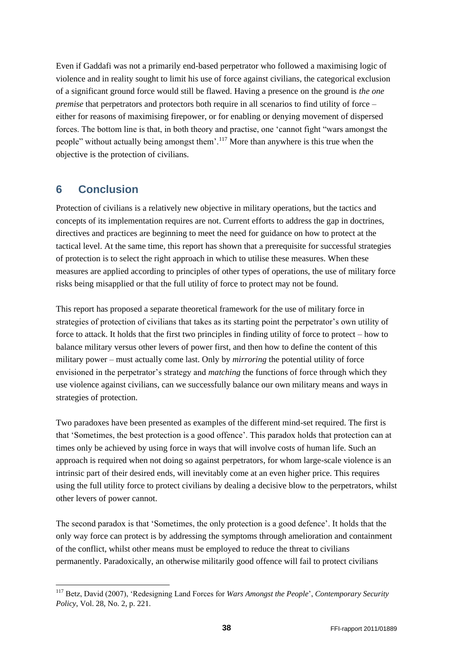Even if Gaddafi was not a primarily end-based perpetrator who followed a maximising logic of violence and in reality sought to limit his use of force against civilians, the categorical exclusion of a significant ground force would still be flawed. Having a presence on the ground is *the one premise* that perpetrators and protectors both require in all scenarios to find utility of force – either for reasons of maximising firepower, or for enabling or denying movement of dispersed forces. The bottom line is that, in both theory and practise, one "cannot fight "wars amongst the people" without actually being amongst them".<sup>117</sup> More than anywhere is this true when the objective is the protection of civilians.

## <span id="page-37-0"></span>**6 Conclusion**

-

Protection of civilians is a relatively new objective in military operations, but the tactics and concepts of its implementation requires are not. Current efforts to address the gap in doctrines, directives and practices are beginning to meet the need for guidance on how to protect at the tactical level. At the same time, this report has shown that a prerequisite for successful strategies of protection is to select the right approach in which to utilise these measures. When these measures are applied according to principles of other types of operations, the use of military force risks being misapplied or that the full utility of force to protect may not be found.

This report has proposed a separate theoretical framework for the use of military force in strategies of protection of civilians that takes as its starting point the perpetrator's own utility of force to attack. It holds that the first two principles in finding utility of force to protect – how to balance military versus other levers of power first, and then how to define the content of this military power – must actually come last. Only by *mirroring* the potential utility of force envisioned in the perpetrator's strategy and *matching* the functions of force through which they use violence against civilians, can we successfully balance our own military means and ways in strategies of protection.

Two paradoxes have been presented as examples of the different mind-set required. The first is that "Sometimes, the best protection is a good offence". This paradox holds that protection can at times only be achieved by using force in ways that will involve costs of human life. Such an approach is required when not doing so against perpetrators, for whom large-scale violence is an intrinsic part of their desired ends, will inevitably come at an even higher price. This requires using the full utility force to protect civilians by dealing a decisive blow to the perpetrators, whilst other levers of power cannot.

The second paradox is that 'Sometimes, the only protection is a good defence'. It holds that the only way force can protect is by addressing the symptoms through amelioration and containment of the conflict, whilst other means must be employed to reduce the threat to civilians permanently. Paradoxically, an otherwise militarily good offence will fail to protect civilians

<sup>117</sup> Betz, David (2007), "Redesigning Land Forces for *Wars Amongst the People*", *Contemporary Security Policy*, Vol. 28, No. 2, p. 221.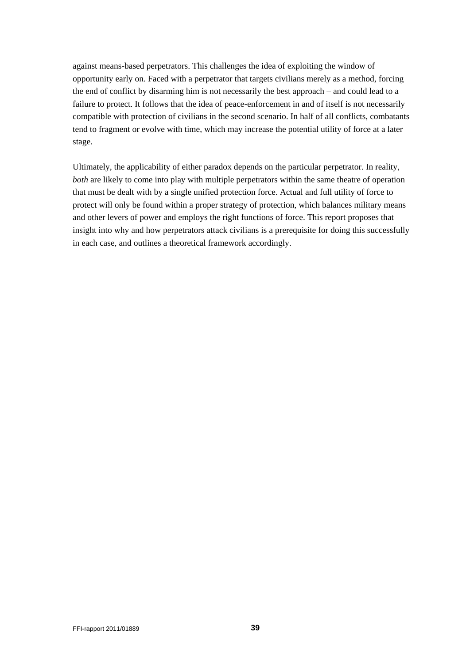against means-based perpetrators. This challenges the idea of exploiting the window of opportunity early on. Faced with a perpetrator that targets civilians merely as a method, forcing the end of conflict by disarming him is not necessarily the best approach – and could lead to a failure to protect. It follows that the idea of peace-enforcement in and of itself is not necessarily compatible with protection of civilians in the second scenario. In half of all conflicts, combatants tend to fragment or evolve with time, which may increase the potential utility of force at a later stage.

Ultimately, the applicability of either paradox depends on the particular perpetrator. In reality, *both* are likely to come into play with multiple perpetrators within the same theatre of operation that must be dealt with by a single unified protection force. Actual and full utility of force to protect will only be found within a proper strategy of protection, which balances military means and other levers of power and employs the right functions of force. This report proposes that insight into why and how perpetrators attack civilians is a prerequisite for doing this successfully in each case, and outlines a theoretical framework accordingly.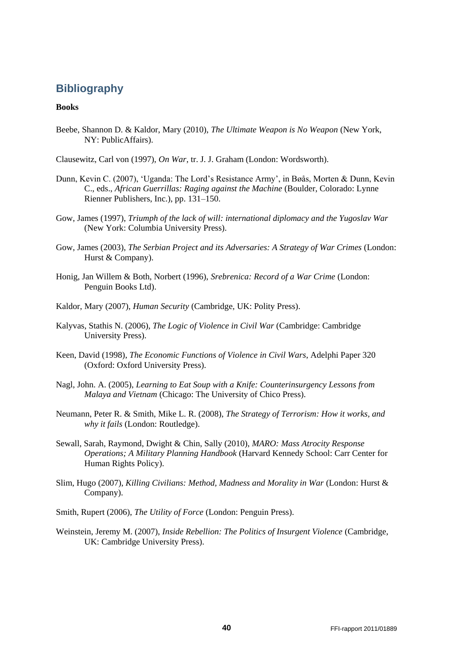## <span id="page-39-0"></span>**Bibliography**

#### **Books**

Beebe, Shannon D. & Kaldor, Mary (2010), *The Ultimate Weapon is No Weapon* (New York, NY: PublicAffairs).

Clausewitz, Carl von (1997), *On War*, tr. J. J. Graham (London: Wordsworth).

- Dunn, Kevin C. (2007), "Uganda: The Lord"s Resistance Army", in Bøås, Morten & Dunn, Kevin C., eds., *African Guerrillas: Raging against the Machine* (Boulder, Colorado: Lynne Rienner Publishers, Inc.), pp. 131–150.
- Gow, James (1997), *Triumph of the lack of will: international diplomacy and the Yugoslav War* (New York: Columbia University Press).
- Gow, James (2003), *The Serbian Project and its Adversaries: A Strategy of War Crimes* (London: Hurst & Company).
- Honig, Jan Willem & Both, Norbert (1996), *Srebrenica: Record of a War Crime* (London: Penguin Books Ltd).
- Kaldor, Mary (2007), *Human Security* (Cambridge, UK: Polity Press).
- Kalyvas, Stathis N. (2006), *The Logic of Violence in Civil War* (Cambridge: Cambridge University Press).
- Keen, David (1998), *The Economic Functions of Violence in Civil Wars*, Adelphi Paper 320 (Oxford: Oxford University Press).
- Nagl, John. A. (2005), *Learning to Eat Soup with a Knife: Counterinsurgency Lessons from Malaya and Vietnam* (Chicago: The University of Chico Press).
- Neumann, Peter R. & Smith, Mike L. R. (2008), *The Strategy of Terrorism: How it works, and why it fails* (London: Routledge).
- Sewall, Sarah, Raymond, Dwight & Chin, Sally (2010), *MARO: Mass Atrocity Response Operations; A Military Planning Handbook* (Harvard Kennedy School: Carr Center for Human Rights Policy).
- Slim, Hugo (2007), *Killing Civilians: Method, Madness and Morality in War* (London: Hurst & Company).

Smith, Rupert (2006), *The Utility of Force* (London: Penguin Press).

Weinstein, Jeremy M. (2007), *Inside Rebellion: The Politics of Insurgent Violence* (Cambridge, UK: Cambridge University Press).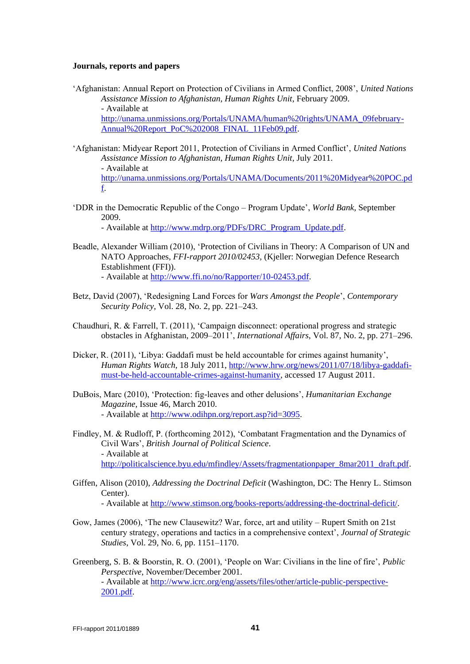#### **Journals, reports and papers**

- "Afghanistan: Annual Report on Protection of Civilians in Armed Conflict, 2008", *United Nations Assistance Mission to Afghanistan, Human Rights Unit*, February 2009. - Available at [http://unama.unmissions.org/Portals/UNAMA/human%20rights/UNAMA\\_09february-](http://unama.unmissions.org/Portals/UNAMA/human%20rights/UNAMA_09february-Annual%20Report_PoC%202008_FINAL_11Feb09.pdf)[Annual%20Report\\_PoC%202008\\_FINAL\\_11Feb09.pdf.](http://unama.unmissions.org/Portals/UNAMA/human%20rights/UNAMA_09february-Annual%20Report_PoC%202008_FINAL_11Feb09.pdf)
- "Afghanistan: Midyear Report 2011, Protection of Civilians in Armed Conflict", *United Nations Assistance Mission to Afghanistan, Human Rights Unit*, July 2011. - Available at [http://unama.unmissions.org/Portals/UNAMA/Documents/2011%20Midyear%20POC.pd](http://unama.unmissions.org/Portals/UNAMA/Documents/2011%20Midyear%20POC.pdf) [f.](http://unama.unmissions.org/Portals/UNAMA/Documents/2011%20Midyear%20POC.pdf)
- "DDR in the Democratic Republic of the Congo Program Update", *World Bank*, September 2009.

- Available at [http://www.mdrp.org/PDFs/DRC\\_Program\\_Update.pdf.](http://www.mdrp.org/PDFs/DRC_Program_Update.pdf)

- Beadle, Alexander William (2010), "Protection of Civilians in Theory: A Comparison of UN and NATO Approaches, *FFI-rapport 2010/02453,* (Kjeller: Norwegian Defence Research Establishment (FFI)). - Available at [http://www.ffi.no/no/Rapporter/10-02453.pdf.](http://www.ffi.no/no/Rapporter/10-02453.pdf)
- Betz, David (2007), "Redesigning Land Forces for *Wars Amongst the People*", *Contemporary Security Policy*, Vol. 28, No. 2, pp. 221–243.
- Chaudhuri, R. & Farrell, T. (2011), "Campaign disconnect: operational progress and strategic obstacles in Afghanistan, 2009–2011", *International Affairs*, Vol. 87, No. 2, pp. 271–296.
- Dicker, R. (2011), 'Libya: Gaddafi must be held accountable for crimes against humanity', *Human Rights Watch*, 18 July 2011, [http://www.hrw.org/news/2011/07/18/libya-gaddafi](http://www.hrw.org/news/2011/07/18/libya-gaddafi-must-be-held-accountable-crimes-against-humanity)[must-be-held-accountable-crimes-against-humanity,](http://www.hrw.org/news/2011/07/18/libya-gaddafi-must-be-held-accountable-crimes-against-humanity) accessed 17 August 2011.
- DuBois, Marc (2010), "Protection: fig-leaves and other delusions", *Humanitarian Exchange Magazine*, Issue 46, March 2010. - Available at [http://www.odihpn.org/report.asp?id=3095.](http://www.odihpn.org/report.asp?id=3095)
- Findley, M. & Rudloff, P. (forthcoming 2012), "Combatant Fragmentation and the Dynamics of Civil Wars", *British Journal of Political Science*. - Available at [http://politicalscience.byu.edu/mfindley/Assets/fragmentationpaper\\_8mar2011\\_draft.pdf.](http://politicalscience.byu.edu/mfindley/Assets/fragmentationpaper_8mar2011_draft.pdf)
- Giffen, Alison (2010), *Addressing the Doctrinal Deficit* (Washington, DC: The Henry L. Stimson Center).

- Available at [http://www.stimson.org/books-reports/addressing-the-doctrinal-deficit/.](http://www.stimson.org/books-reports/addressing-the-doctrinal-deficit/)

- Gow, James (2006), "The new Clausewitz? War, force, art and utility Rupert Smith on 21st century strategy, operations and tactics in a comprehensive context", *Journal of Strategic Studies*, Vol. 29, No. 6, pp. 1151–1170.
- Greenberg, S. B. & Boorstin, R. O. (2001), "People on War: Civilians in the line of fire", *Public Perspective*, November/December 2001. - Available at [http://www.icrc.org/eng/assets/files/other/article-public-perspective-](http://www.icrc.org/eng/assets/files/other/article-public-perspective-2001.pdf)[2001.pdf.](http://www.icrc.org/eng/assets/files/other/article-public-perspective-2001.pdf)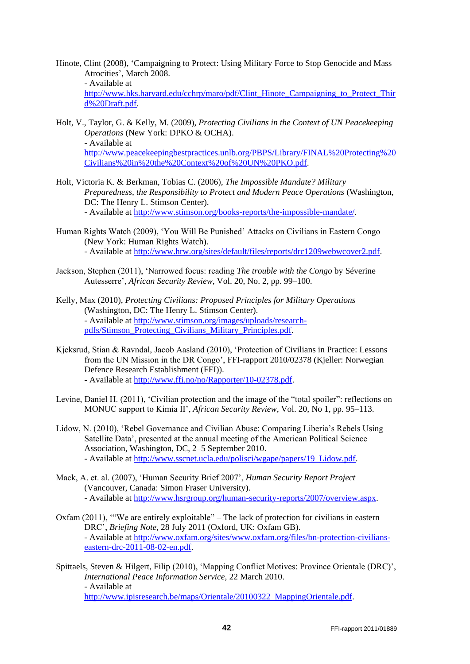Hinote, Clint (2008), "Campaigning to Protect: Using Military Force to Stop Genocide and Mass Atrocities", March 2008.

- Available at

[http://www.hks.harvard.edu/cchrp/maro/pdf/Clint\\_Hinote\\_Campaigning\\_to\\_Protect\\_Thir](http://www.hks.harvard.edu/cchrp/maro/pdf/Clint_Hinote_Campaigning_to_Protect_Third%20Draft.pdf) [d%20Draft.pdf.](http://www.hks.harvard.edu/cchrp/maro/pdf/Clint_Hinote_Campaigning_to_Protect_Third%20Draft.pdf)

- Holt, V., Taylor, G. & Kelly, M. (2009), *Protecting Civilians in the Context of UN Peacekeeping Operations* (New York: DPKO & OCHA). - Available at [http://www.peacekeepingbestpractices.unlb.org/PBPS/Library/FINAL%20Protecting%20](http://www.peacekeepingbestpractices.unlb.org/PBPS/Library/FINAL%20Protecting%20Civilians%20in%20the%20Context%20of%20UN%20PKO.pdf) [Civilians%20in%20the%20Context%20of%20UN%20PKO.pdf.](http://www.peacekeepingbestpractices.unlb.org/PBPS/Library/FINAL%20Protecting%20Civilians%20in%20the%20Context%20of%20UN%20PKO.pdf)
- Holt, Victoria K. & Berkman, Tobias C. (2006), *The Impossible Mandate? Military Preparedness, the Responsibility to Protect and Modern Peace Operations* (Washington, DC: The Henry L. Stimson Center). - Available at [http://www.stimson.org/books-reports/the-impossible-mandate/.](http://www.stimson.org/books-reports/the-impossible-mandate/)
- Human Rights Watch (2009), "You Will Be Punished" Attacks on Civilians in Eastern Congo (New York: Human Rights Watch). - Available at [http://www.hrw.org/sites/default/files/reports/drc1209webwcover2.pdf.](http://www.hrw.org/sites/default/files/reports/drc1209webwcover2.pdf)
- Jackson, Stephen (2011), "Narrowed focus: reading *The trouble with the Congo* by Séverine Autesserre", *African Security Review*, Vol. 20, No. 2, pp. 99–100.
- Kelly, Max (2010), *Protecting Civilians: Proposed Principles for Military Operations* (Washington, DC: The Henry L. Stimson Center). - Available at [http://www.stimson.org/images/uploads/research](http://www.stimson.org/images/uploads/research-pdfs/Stimson_Protecting_Civilians_Military_Principles.pdf)[pdfs/Stimson\\_Protecting\\_Civilians\\_Military\\_Principles.pdf.](http://www.stimson.org/images/uploads/research-pdfs/Stimson_Protecting_Civilians_Military_Principles.pdf)
- Kjeksrud, Stian & Ravndal, Jacob Aasland (2010), "Protection of Civilians in Practice: Lessons from the UN Mission in the DR Congo", FFI-rapport 2010/02378 (Kjeller: Norwegian Defence Research Establishment (FFI)). - Available at [http://www.ffi.no/no/Rapporter/10-02378.pdf.](http://www.ffi.no/no/Rapporter/10-02378.pdf)
- Levine, Daniel H. (2011), "Civilian protection and the image of the "total spoiler": reflections on MONUC support to Kimia II", *African Security Review*, Vol. 20, No 1, pp. 95–113.
- Lidow, N. (2010), "Rebel Governance and Civilian Abuse: Comparing Liberia"s Rebels Using Satellite Data", presented at the annual meeting of the American Political Science Association, Washington, DC, 2–5 September 2010. - Available at [http://www.sscnet.ucla.edu/polisci/wgape/papers/19\\_Lidow.pdf.](http://www.sscnet.ucla.edu/polisci/wgape/papers/19_Lidow.pdf)
- Mack, A. et. al. (2007), "Human Security Brief 2007", *Human Security Report Project* (Vancouver, Canada: Simon Fraser University). - Available at [http://www.hsrgroup.org/human-security-reports/2007/overview.aspx.](http://www.hsrgroup.org/human-security-reports/2007/overview.aspx)
- Oxfam (2011), ""We are entirely exploitable" The lack of protection for civilians in eastern DRC", *Briefing Note*, 28 July 2011 (Oxford, UK: Oxfam GB). - Available at [http://www.oxfam.org/sites/www.oxfam.org/files/bn-protection-civilians](http://www.oxfam.org/sites/www.oxfam.org/files/bn-protection-civilians-eastern-drc-2011-08-02-en.pdf)[eastern-drc-2011-08-02-en.pdf.](http://www.oxfam.org/sites/www.oxfam.org/files/bn-protection-civilians-eastern-drc-2011-08-02-en.pdf)
- Spittaels, Steven & Hilgert, Filip (2010), 'Mapping Conflict Motives: Province Orientale (DRC)', *International Peace Information Service*, 22 March 2010. - Available at [http://www.ipisresearch.be/maps/Orientale/20100322\\_MappingOrientale.pdf.](http://www.ipisresearch.be/maps/Orientale/20100322_MappingOrientale.pdf)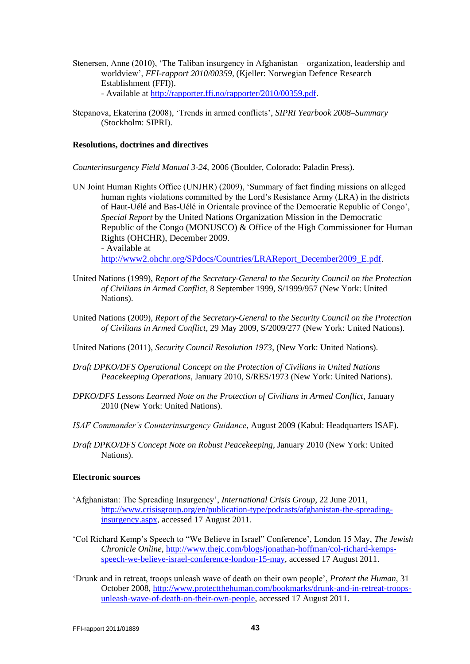- Stenersen, Anne (2010), "The Taliban insurgency in Afghanistan organization, leadership and worldview", *FFI-rapport 2010/00359*, (Kjeller: Norwegian Defence Research Establishment (FFI)). - Available at [http://rapporter.ffi.no/rapporter/2010/00359.pdf.](http://rapporter.ffi.no/rapporter/2010/00359.pdf)
- Stepanova, Ekaterina (2008), "Trends in armed conflicts", *SIPRI Yearbook 2008–Summary* (Stockholm: SIPRI).

#### **Resolutions, doctrines and directives**

*Counterinsurgency Field Manual 3-24*, 2006 (Boulder, Colorado: Paladin Press).

- UN Joint Human Rights Office (UNJHR) (2009), "Summary of fact finding missions on alleged human rights violations committed by the Lord"s Resistance Army (LRA) in the districts of Haut-Uélé and Bas-Uélé in Orientale province of the Democratic Republic of Congo", *Special Report* by the United Nations Organization Mission in the Democratic Republic of the Congo (MONUSCO) & Office of the High Commissioner for Human Rights (OHCHR), December 2009. - Available at [http://www2.ohchr.org/SPdocs/Countries/LRAReport\\_December2009\\_E.pdf.](http://www2.ohchr.org/SPdocs/Countries/LRAReport_December2009_E.pdf)
- United Nations (1999), *Report of the Secretary-General to the Security Council on the Protection of Civilians in Armed Conflict*, 8 September 1999, S/1999/957 (New York: United Nations).
- United Nations (2009), *Report of the Secretary-General to the Security Council on the Protection of Civilians in Armed Conflict*, 29 May 2009, S/2009/277 (New York: United Nations).

United Nations (2011), *Security Council Resolution 1973*, (New York: United Nations).

- *Draft DPKO/DFS Operational Concept on the Protection of Civilians in United Nations Peacekeeping Operations*, January 2010, S/RES/1973 (New York: United Nations).
- *DPKO/DFS Lessons Learned Note on the Protection of Civilians in Armed Conflict*, January 2010 (New York: United Nations).
- *ISAF Commander's Counterinsurgency Guidance*, August 2009 (Kabul: Headquarters ISAF).
- *Draft DPKO/DFS Concept Note on Robust Peacekeeping*, January 2010 (New York: United Nations).

#### **Electronic sources**

- "Afghanistan: The Spreading Insurgency", *International Crisis Group*, 22 June 2011, [http://www.crisisgroup.org/en/publication-type/podcasts/afghanistan-the-spreading](http://www.crisisgroup.org/en/publication-type/podcasts/afghanistan-the-spreading-insurgency.aspx)[insurgency.aspx,](http://www.crisisgroup.org/en/publication-type/podcasts/afghanistan-the-spreading-insurgency.aspx) accessed 17 August 2011.
- "Col Richard Kemp"s Speech to "We Believe in Israel" Conference", London 15 May, *The Jewish Chronicle Online*, [http://www.thejc.com/blogs/jonathan-hoffman/col-richard-kemps](http://www.thejc.com/blogs/jonathan-hoffman/col-richard-kemps-speech-we-believe-israel-conference-london-15-may)[speech-we-believe-israel-conference-london-15-may,](http://www.thejc.com/blogs/jonathan-hoffman/col-richard-kemps-speech-we-believe-israel-conference-london-15-may) accessed 17 August 2011.
- "Drunk and in retreat, troops unleash wave of death on their own people", *Protect the Human*, 31 October 2008, [http://www.protectthehuman.com/bookmarks/drunk-and-in-retreat-troops](http://www.protectthehuman.com/bookmarks/drunk-and-in-retreat-troops-unleash-wave-of-death-on-their-own-people)[unleash-wave-of-death-on-their-own-people,](http://www.protectthehuman.com/bookmarks/drunk-and-in-retreat-troops-unleash-wave-of-death-on-their-own-people) accessed 17 August 2011.